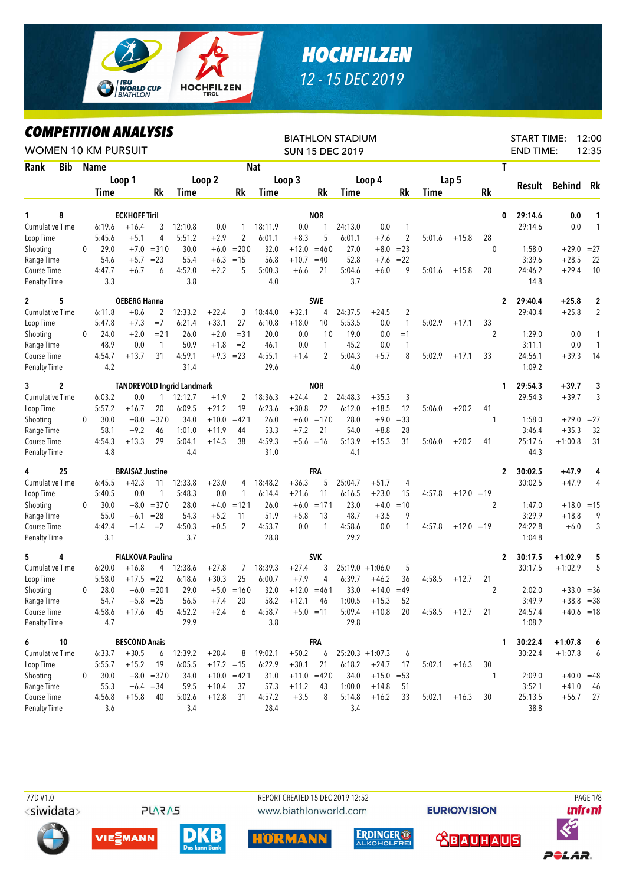

## *HOCHFILZEN 12 - 15 DEC 2019*

*COMPETITION ANALYSIS*

| <i><b>COMPEILION ANALYSIS</b></i><br><b>WOMEN 10 KM PURSUIT</b> |            |   |               |                         |                             |                                   |              |                     |               |                   |                     | <b>BIATHLON STADIUM</b><br><b>SUN 15 DEC 2019</b> |                         |                |        |                 |              | <b>START TIME:</b><br><b>END TIME:</b> |                    | 12:00<br>12:35     |
|-----------------------------------------------------------------|------------|---|---------------|-------------------------|-----------------------------|-----------------------------------|--------------|---------------------|---------------|-------------------|---------------------|---------------------------------------------------|-------------------------|----------------|--------|-----------------|--------------|----------------------------------------|--------------------|--------------------|
| Rank                                                            | <b>Bib</b> |   | <b>Name</b>   |                         |                             |                                   |              |                     | <b>Nat</b>    |                   |                     |                                                   |                         |                |        |                 | T            |                                        |                    |                    |
|                                                                 |            |   |               | Loop 1                  |                             |                                   | Loop 2       |                     |               | Loop 3            |                     |                                                   | Loop 4                  |                |        | Lap 5           |              |                                        |                    |                    |
|                                                                 |            |   | Time          |                         | Rk                          | Time                              |              | Rk                  | Time          |                   | Rk                  | Time                                              |                         | Rk             | Time   |                 | Rk           | Result                                 | Behind             | Rk                 |
|                                                                 |            |   |               |                         |                             |                                   |              |                     |               |                   |                     |                                                   |                         |                |        |                 |              |                                        |                    |                    |
| 1                                                               | 8          |   |               | <b>ECKHOFF Tiril</b>    |                             |                                   |              |                     |               |                   | <b>NOR</b>          |                                                   |                         |                |        |                 | 0            | 29:14.6                                | 0.0                | 1                  |
| <b>Cumulative Time</b>                                          |            |   | 6:19.6        | $+16.4$                 | 3                           | 12:10.8                           | 0.0          | $\mathbf{1}$        | 18:11.9       | 0.0               | 1                   | 24:13.0                                           | 0.0                     | 1              |        |                 |              | 29:14.6                                | 0.0                | $\mathbf{1}$       |
| Loop Time                                                       |            |   | 5:45.6        | $+5.1$                  | 4                           | 5:51.2                            | $+2.9$       | 2                   | 6:01.1        | $+8.3$            | 5                   | 6:01.1                                            | $+7.6$                  | $\overline{2}$ | 5:01.6 | $+15.8$         | 28           |                                        |                    |                    |
| Shooting                                                        |            | 0 | 29.0          | $+7.0$                  | $= 310$                     | 30.0                              | $+6.0$       | $= 200$             | 32.0          | $+12.0$           | $=460$              | 27.0                                              | $+8.0$                  | $= 23$         |        |                 | $\mathbf{0}$ | 1:58.0                                 | $+29.0$            | $= 27$             |
| Range Time                                                      |            |   | 54.6          | $+5.7$                  | $= 23$                      | 55.4                              | $+6.3$       | $=15$               | 56.8          | $+10.7$           | $=40$               | 52.8                                              | $+7.6$                  | $= 22$         |        |                 |              | 3:39.6                                 | $+28.5$            | 22                 |
| Course Time<br><b>Penalty Time</b>                              |            |   | 4:47.7<br>3.3 | $+6.7$                  | 6                           | 4:52.0<br>3.8                     | $+2.2$       | 5                   | 5:00.3<br>4.0 | $+6.6$            | 21                  | 5:04.6<br>3.7                                     | $+6.0$                  | 9              | 5:01.6 | $+15.8$         | 28           | 24:46.2<br>14.8                        | $+29.4$            | 10                 |
| $\mathbf{2}$                                                    | 5          |   |               | <b>OEBERG Hanna</b>     |                             |                                   |              |                     |               |                   | <b>SWE</b>          |                                                   |                         |                |        |                 | 2            | 29:40.4                                | $+25.8$            | $\boldsymbol{2}$   |
| <b>Cumulative Time</b>                                          |            |   | 6:11.8        | $+8.6$                  | 2                           | 12:33.2                           | $+22.4$      | 3                   | 18:44.0       | $+32.1$           | 4                   | 24:37.5                                           | $+24.5$                 | $\overline{c}$ |        |                 |              | 29:40.4                                | $+25.8$            | $\overline{2}$     |
| Loop Time                                                       |            |   | 5:47.8        | $+7.3$                  | $=7$                        | 6:21.4                            | $+33.1$      | 27                  | 6:10.8        | $+18.0$           | 10                  | 5:53.5                                            | 0.0                     | 1              | 5:02.9 | $+17.1$         | 33           |                                        |                    |                    |
| Shooting                                                        |            | 0 | 24.0          | $+2.0$                  | $= 21$                      | 26.0                              | $+2.0$       | $= 31$              | 20.0          | 0.0               | 10                  | 19.0                                              | 0.0                     | $=1$           |        |                 | 2            | 1:29.0                                 | 0.0                | 1                  |
| Range Time                                                      |            |   | 48.9          | 0.0                     | $\mathbf{1}$                | 50.9                              | $+1.8$       | $=2$                | 46.1          | 0.0               | 1                   | 45.2                                              | 0.0                     | 1              |        |                 |              | 3:11.1                                 | 0.0                | $\mathbf{1}$       |
| Course Time                                                     |            |   | 4:54.7        | $+13.7$                 | 31                          | 4:59.1                            |              | $+9.3 = 23$         | 4:55.1        | $+1.4$            | $\overline{2}$      | 5:04.3                                            | $+5.7$                  | 8              | 5:02.9 | $+17.1$         | 33           | 24:56.1                                | $+39.3$            | 14                 |
| <b>Penalty Time</b>                                             |            |   | 4.2           |                         |                             | 31.4                              |              |                     | 29.6          |                   |                     | 4.0                                               |                         |                |        |                 |              | 1:09.2                                 |                    |                    |
| 3                                                               | 2          |   |               |                         |                             | <b>TANDREVOLD Ingrid Landmark</b> |              |                     |               |                   | <b>NOR</b>          |                                                   |                         |                |        |                 | 1            | 29:54.3                                | $+39.7$            | 3                  |
| <b>Cumulative Time</b>                                          |            |   | 6:03.2        | 0.0                     | 1                           | 12:12.7                           | $+1.9$       | 2                   | 18:36.3       | $+24.4$           | $\overline{2}$      | 24:48.3                                           | $+35.3$                 | 3              |        |                 |              | 29:54.3                                | $+39.7$            | 3                  |
| Loop Time                                                       |            |   | 5:57.2        | $+16.7$                 | 20                          | 6:09.5                            | $+21.2$      | 19                  | 6:23.6        | $+30.8$           | 22                  | 6:12.0                                            | $+18.5$                 | 12             | 5:06.0 | $+20.2$         | 41           |                                        |                    |                    |
| Shooting                                                        |            | 0 | 30.0          | $+8.0$                  | $= 370$                     | 34.0                              | $+10.0$      | $=421$              | 26.0          |                   | $+6.0 = 170$        | 28.0                                              | $+9.0$                  | $= 33$         |        |                 | 1            | 1:58.0                                 | $+29.0$            | $= 27$             |
| Range Time                                                      |            |   | 58.1          | $+9.2$                  | 46                          | 1:01.0                            | $+11.9$      | 44                  | 53.3          | $+7.2$            | 21                  | 54.0                                              | $+8.8$                  | 28             |        |                 |              | 3:46.4                                 | $+35.3$            | 32                 |
| Course Time                                                     |            |   | 4:54.3        | $+13.3$                 | 29                          | 5:04.1                            | $+14.3$      | 38                  | 4:59.3        |                   | $+5.6 = 16$         | 5:13.9                                            | $+15.3$                 | 31             | 5:06.0 | $+20.2$         | 41           | 25:17.6                                | $+1:00.8$          | 31                 |
| <b>Penalty Time</b>                                             |            |   | 4.8           |                         |                             | 4.4                               |              |                     | 31.0          |                   |                     | 4.1                                               |                         |                |        |                 |              | 44.3                                   |                    |                    |
| 4                                                               | 25         |   |               | <b>BRAISAZ Justine</b>  |                             |                                   |              |                     |               |                   | FRA                 |                                                   |                         |                |        |                 | 2            | 30:02.5                                | $+47.9$            | 4                  |
| Cumulative Time                                                 |            |   | 6:45.5        | $+42.3$                 | 11                          | 12:33.8                           | $+23.0$      | 4                   | 18:48.2       | $+36.3$           | 5                   | 25:04.7                                           | $+51.7$                 | 4              |        |                 |              | 30:02.5                                | $+47.9$            | 4                  |
| Loop Time                                                       |            |   | 5:40.5        | 0.0                     | $\mathbf{1}$                | 5:48.3                            | 0.0          | 1                   | 6:14.4        | $+21.6$           | 11                  | 6:16.5                                            | $+23.0$                 | 15             | 4:57.8 | $+12.0 = 19$    |              |                                        |                    |                    |
| Shooting                                                        |            | 0 | 30.0          | $+8.0$                  | $= 370$                     | 28.0                              | $+4.0$       | $=121$              | 26.0          | $+6.0$            | $=171$              | 23.0                                              | $+4.0$                  | $=10$          |        |                 | 2            | 1:47.0                                 | $+18.0$            | $=15$              |
| Range Time                                                      |            |   | 55.0          | $+6.1$                  | $= 28$                      | 54.3                              | $+5.2$       | 11                  | 51.9          | $+5.8$            | 13                  | 48.7                                              | $+3.5$                  | 9              |        |                 |              | 3:29.9                                 | $+18.8$            | 9                  |
| Course Time                                                     |            |   | 4:42.4        | $+1.4$                  | $=2$                        | 4:50.3                            | $+0.5$       | $\overline{2}$      | 4:53.7        | 0.0               | 1                   | 4:58.6                                            | 0.0                     | 1              | 4:57.8 | $+12.0 = 19$    |              | 24:22.8                                | $+6.0$             | 3                  |
| <b>Penalty Time</b>                                             |            |   | 3.1           |                         |                             | 3.7                               |              |                     | 28.8          |                   |                     | 29.2                                              |                         |                |        |                 |              | 1:04.8                                 |                    |                    |
| 5                                                               | 4          |   |               | <b>FIALKOVA Paulina</b> |                             |                                   |              |                     |               |                   | <b>SVK</b>          |                                                   |                         |                |        |                 | 2            | 30:17.5                                | $+1:02.9$          | 5                  |
| <b>Cumulative Time</b>                                          |            |   | 6:20.0        | $+16.8$                 | 4                           | 12:38.6                           | $+27.8$      | 7                   | 18:39.3       | $+27.4$           | 3                   |                                                   | $25:19.0 + 1:06.0$      | 5              |        |                 |              | 30:17.5                                | $+1:02.9$          | 5                  |
| Loop Time                                                       |            |   | 5:58.0        | $+17.5 = 22$            |                             | 6:18.6                            | $+30.3$      | 25                  | 6:00.7        | $+7.9$            | 4                   | 6:39.7                                            | $+46.2$                 | 36             | 4:58.5 | $+12.7$         | 21           |                                        |                    |                    |
| Shooting                                                        |            | 0 | 28.0          |                         | $+6.0 = 201$                | 29.0                              |              | $+5.0 = 160$        | 32.0          |                   | $+12.0 = 461$       | 33.0                                              | $+14.0$                 | $=49$          |        |                 | 2            | 2:02.0                                 |                    | $+33.0 = 36$       |
| Range Time                                                      |            |   | 54.7          |                         | $+5.8$ = 25                 | 56.5                              | $+7.4$       | 20                  | 58.2          | $+12.1$           | 46                  | 1:00.5                                            | $+15.3$                 | 52             |        |                 |              | 3:49.9                                 |                    | $+38.8 = 38$       |
| Course Time<br><b>Penalty Time</b>                              |            |   | 4:58.6<br>4.7 | $+17.6$                 | 45                          | 4:52.2<br>29.9                    | $+2.4$       | 6                   | 4:58.7<br>3.8 |                   | $+5.0 = 11$         | 5:09.4<br>29.8                                    | $+10.8$                 | 20             |        | $4:58.5 +12.7$  | 21           | 24:57.4<br>1:08.2                      |                    | $+40.6 = 18$       |
|                                                                 |            |   |               |                         |                             |                                   |              |                     |               |                   |                     |                                                   |                         |                |        |                 |              |                                        |                    |                    |
| 6                                                               | 10         |   |               | <b>BESCOND Anais</b>    |                             |                                   |              |                     |               |                   | FRA                 |                                                   | $25:20.3 +1:07.3$       |                |        |                 | 1.           | 30:22.4                                | $+1:07.8$          | 6                  |
| Cumulative Time                                                 |            |   | 6:33.7        | $+30.5$                 | 6                           | 12:39.2                           | $+28.4$      | 8                   | 19:02.1       | $+50.2$           | 6                   |                                                   |                         | 6              |        |                 |              | 30:22.4                                | $+1:07.8$          | 6                  |
| Loop Time                                                       |            |   | 5:55.7        | $+15.2$                 | 19                          | 6:05.5                            | $+17.2 = 15$ |                     | 6:22.9        | $+30.1$           | 21                  | 6:18.2                                            | $+24.7$                 | 17             | 5:02.1 | $+16.3$         | 30           |                                        |                    |                    |
| Shooting<br>Range Time                                          |            | 0 | 30.0<br>55.3  |                         | $+8.0 = 370$<br>$+6.4 = 34$ | 34.0<br>59.5                      | $+10.4$      | $+10.0 = 421$<br>37 | 31.0<br>57.3  |                   | $+11.0 = 420$<br>43 | 34.0<br>1:00.0                                    | $+15.0 = 53$<br>$+14.8$ | 51             |        |                 |              | 2:09.0<br>3:52.1                       |                    | $+40.0 = 48$<br>46 |
| Course Time                                                     |            |   | 4:56.8        | $+15.8$                 | 40                          | 5:02.6                            | $+12.8$      | 31                  | 4:57.2        | $+11.2$<br>$+3.5$ | 8                   | 5:14.8                                            | $+16.2$                 | 33             |        | $5:02.1 + 16.3$ | 30           | 25:13.5                                | $+41.0$<br>$+56.7$ | 27                 |
| Penalty Time                                                    |            |   | 3.6           |                         |                             | 3.4                               |              |                     | 28.4          |                   |                     | 3.4                                               |                         |                |        |                 |              | 38.8                                   |                    |                    |
|                                                                 |            |   |               |                         |                             |                                   |              |                     |               |                   |                     |                                                   |                         |                |        |                 |              |                                        |                    |                    |

<siwidata>

**PLARAS** 

D

VIESMANN

 77D V1.0 REPORT CREATED 15 DEC 2019 12:52 PAGE 1/8www.biathlonworld.com





**EURIOVISION** 

 **SBAUHAUS** 



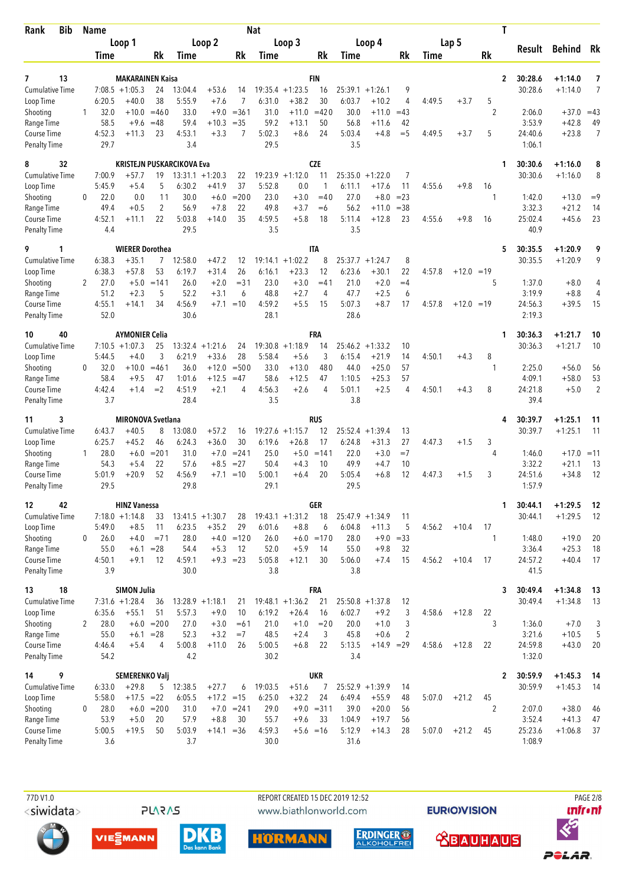| <b>Bib</b><br>Rank                  |              | <b>Name</b>            |                                             |                        |                                  |                               |                      | <b>Nat</b>        |                               |                        |                              |                               |                  |        |              | Τ                    |                    |                        |                |
|-------------------------------------|--------------|------------------------|---------------------------------------------|------------------------|----------------------------------|-------------------------------|----------------------|-------------------|-------------------------------|------------------------|------------------------------|-------------------------------|------------------|--------|--------------|----------------------|--------------------|------------------------|----------------|
|                                     |              |                        | Loop 1                                      |                        |                                  | Loop 2                        |                      |                   | Loop 3                        |                        |                              | Loop 4                        |                  |        | Lap 5        |                      | Result             | Behind Rk              |                |
|                                     |              | Time                   |                                             | Rk                     | <b>Time</b>                      |                               | Rk                   | Time              |                               | Rk                     | Time                         |                               | Rk               | Time   |              | Rk                   |                    |                        |                |
| 13<br>7<br><b>Cumulative Time</b>   |              |                        | <b>MAKARAINEN Kaisa</b><br>$7:08.5 +1:05.3$ | 24<br>38               | 13:04.4<br>5:55.9                | $+53.6$                       | 14<br>$\overline{7}$ | 6:31.0            | $19:35.4 +1:23.5$             | <b>FIN</b><br>16<br>30 | 25:39.1                      | $+1:26.1$                     | 9                |        |              | $\overline{2}$       | 30:28.6<br>30:28.6 | $+1:14.0$<br>$+1:14.0$ | 7<br>7         |
| Loop Time<br>Shooting<br>Range Time | 1            | 6:20.5<br>32.0<br>58.5 | $+40.0$<br>$+9.6$                           | $+10.0 = 460$<br>$=48$ | 33.0<br>59.4                     | $+7.6$<br>$+9.0$<br>$+10.3$   | $= 361$<br>$=35$     | 31.0<br>59.2      | $+38.2$<br>$+11.0$<br>$+13.1$ | $=420$<br>50           | 6:03.7<br>30.0<br>56.8       | $+10.2$<br>$+11.0$<br>$+11.6$ | 4<br>$=43$<br>42 | 4:49.5 | $+3.7$       | 5<br>$\overline{2}$  | 2:06.0<br>3:53.9   | $+37.0$<br>$+42.8$     | $=43$<br>49    |
| Course Time<br><b>Penalty Time</b>  |              | 4:52.3<br>29.7         | $+11.3$                                     | 23                     | 4:53.1<br>3.4                    | $+3.3$                        | 7                    | 5:02.3<br>29.5    | $+8.6$                        | 24                     | 5:03.4<br>3.5                | $+4.8$                        | $=$ 5            | 4:49.5 | $+3.7$       | 5                    | 24:40.6<br>1:06.1  | $+23.8$                | $\overline{7}$ |
| 8<br>32<br>Cumulative Time          |              | 7:00.9                 | $+57.7$                                     | 19                     | <b>KRISTEJN PUSKARCIKOVA Eva</b> | $13:31.1 + 1:20.3$            | 22                   | 19:23.9           | $+1:12.0$                     | <b>CZE</b><br>11       | $25:35.0 + 1:22.0$           |                               | 7                |        |              | 1                    | 30:30.6<br>30:30.6 | $+1:16.0$<br>$+1:16.0$ | 8<br>8         |
| Loop Time                           |              | 5:45.9                 | $+5.4$                                      | 5                      | 6:30.2                           | $+41.9$                       | 37                   | 5:52.8            | 0.0                           | 1                      | 6:11.1                       | $+17.6$                       | 11               | 4:55.6 | $+9.8$       | 16                   |                    |                        |                |
| Shooting                            | 0            | 22.0                   | 0.0                                         | 11                     | 30.0                             | $+6.0$                        | $= 200$              | 23.0              | $+3.0$                        | $=40$                  | 27.0                         | $+8.0$                        | $= 23$           |        |              | -1                   | 1:42.0             | $+13.0$                | $=9$           |
| Range Time                          |              | 49.4                   | $+0.5$                                      | 2                      | 56.9                             | $+7.8$                        | 22                   | 49.8              | $+3.7$                        | $=6$                   | 56.2                         | $+11.0$                       | $=38$            |        |              |                      | 3:32.3             | $+21.2$                | 14             |
| Course Time<br>Penalty Time         |              | 4:52.1<br>4.4          | $+11.1$                                     | 22                     | 5:03.8<br>29.5                   | $+14.0$                       | 35                   | 4:59.5<br>3.5     | $+5.8$                        | 18                     | 5:11.4<br>3.5                | $+12.8$                       | 23               | 4:55.6 | $+9.8$       | 16                   | 25:02.4<br>40.9    | $+45.6$                | 23             |
| 9<br>1                              |              |                        | <b>WIERER Dorothea</b>                      |                        |                                  |                               |                      |                   |                               | <b>ITA</b>             |                              |                               |                  |        |              | 5                    | 30:35.5            | $+1:20.9$              | 9              |
| <b>Cumulative Time</b><br>Loop Time |              | 6:38.3<br>6:38.3       | $+35.1$<br>$+57.8$                          | 7<br>53                | 12:58.0<br>6:19.7                | $+47.2$<br>$+31.4$            | 12<br>26             | 19:14.1<br>6:16.1 | $+1:02.2$<br>$+23.3$          | 8<br>12                | 25:37.7<br>6:23.6            | $+1:24.7$<br>$+30.1$          | 8<br>22          | 4:57.8 | $+12.0 = 19$ |                      | 30:35.5            | $+1:20.9$              | 9              |
| Shooting                            | 2            | 27.0                   | $+5.0$                                      | $=141$                 | 26.0                             | $+2.0$                        | $= 31$               | 23.0              | $+3.0$                        | $=41$                  | 21.0                         | $+2.0$                        | $=4$             |        |              | 5                    | 1:37.0             | $+8.0$                 | 4              |
| Range Time                          |              | 51.2                   | $+2.3$                                      | 5                      | 52.2                             | $+3.1$                        | 6                    | 48.8              | $+2.7$                        | 4                      | 47.7                         | $+2.5$                        | 6                |        |              |                      | 3:19.9             | $+8.8$                 | 4              |
| Course Time<br><b>Penalty Time</b>  |              | 4:55.1<br>52.0         | $+14.1$                                     | 34                     | 4:56.9<br>30.6                   | $+7.1$                        | $=10$                | 4:59.2<br>28.1    | $+5.5$                        | 15                     | 5:07.3<br>28.6               | $+8.7$                        | 17               | 4:57.8 | $+12.0 = 19$ |                      | 24:56.3<br>2:19.3  | $+39.5$                | 15             |
| 40<br>10                            |              |                        | <b>AYMONIER Celia</b>                       |                        |                                  |                               |                      |                   |                               | FRA                    |                              |                               |                  |        |              | 1                    | 30:36.3            | $+1:21.7$              | 10             |
| <b>Cumulative Time</b>              |              | 5:44.5                 | $7:10.5 + 1:07.3$<br>$+4.0$                 | 25<br>3                | 6:21.9                           | $13:32.4 + 1:21.6$<br>$+33.6$ | 24<br>28             | 5:58.4            | $19:30.8 +1:18.9$<br>$+5.6$   | 14<br>3                | $25:46.2 + 1:33.2$<br>6:15.4 | $+21.9$                       | 10<br>14         | 4:50.1 | $+4.3$       | 8                    | 30:36.3            | $+1:21.7$              | 10             |
| Loop Time<br>Shooting               | 0            | 32.0                   | $+10.0$                                     | $= 461$                | 36.0                             | $+12.0$                       | $= 500$              | 33.0              | $+13.0$                       | 480                    | 44.0                         | $+25.0$                       | 57               |        |              | -1                   | 2:25.0             | $+56.0$                | 56             |
| Range Time                          |              | 58.4                   | $+9.5$                                      | 47                     | 1:01.6                           | $+12.5$                       | $=47$                | 58.6              | $+12.5$                       | 47                     | 1:10.5                       | $+25.3$                       | 57               |        |              |                      | 4:09.1             | $+58.0$                | 53             |
| Course Time<br>Penalty Time         |              | 4:42.4<br>3.7          | $+1.4$                                      | $=2$                   | 4:51.9<br>28.4                   | $+2.1$                        | 4                    | 4:56.3<br>3.5     | $+2.6$                        | $\overline{4}$         | 5:01.1<br>3.8                | $+2.5$                        | 4                | 4:50.1 | $+4.3$       | 8                    | 24:21.8<br>39.4    | $+5.0$                 | $\overline{2}$ |
| 3<br>11                             |              |                        | <b>MIRONOVA Svetlana</b>                    |                        |                                  |                               |                      |                   |                               | <b>RUS</b>             |                              |                               |                  |        |              | 4                    | 30:39.7            | $+1:25.1$              | 11             |
| Cumulative Time                     |              | 6:43.7<br>6:25.7       | $+40.5$<br>$+45.2$                          | 8<br>46                | 13:08.0<br>6:24.3                | $+57.2$<br>$+36.0$            | 16<br>30             | 19:27.6<br>6:19.6 | $+1:15.7$<br>$+26.8$          | 12<br>17               | 25:52.4<br>6:24.8            | $+1:39.4$<br>$+31.3$          | 13<br>27         | 4:47.3 | $+1.5$       | 3                    | 30:39.7            | $+1:25.1$              | 11             |
| Loop Time<br>Shooting               | $\mathbf{1}$ | 28.0                   | $+6.0$                                      | $= 201$                | 31.0                             | $+7.0$                        | $= 241$              | 25.0              | $+5.0$                        | $=141$                 | 22.0                         | $+3.0$                        | $=7$             |        |              | 4                    | 1:46.0             | $+17.0$                | $=11$          |
| Range Time                          |              | 54.3                   | $+5.4$                                      | 22                     | 57.6                             | $+8.5$                        | $= 27$               | 50.4              | $+4.3$                        | 10                     | 49.9                         | +4.7                          | 10               |        |              |                      | 3:32.2             | $+21.1$                | 13             |
| Course Time<br>Penalty Time         |              | 5:01.9<br>29.5         | $+20.9$                                     | 52                     | 4:56.9<br>29.8                   | $+7.1$                        | $=10$                | 5:00.1<br>29.1    | $+6.4$                        | 20                     | 5:05.4<br>29.5               | $+6.8$                        | 12               | 4:47.3 | $+1.5$       | 3                    | 24:51.6<br>1:57.9  | $+34.8$                | 12             |
| 42<br>12                            |              |                        | <b>HINZ Vanessa</b>                         |                        |                                  |                               |                      |                   |                               | <b>GER</b>             |                              |                               |                  |        |              | 1                    | 30:44.1            | $+1:29.5$              | - 12           |
| Cumulative Time                     |              | 5:49.0                 | $7:18.0 + 1:14.8$                           | 33                     | 6:23.5                           | $13:41.5 + 1:30.7$<br>$+35.2$ | 28<br>29             | 6:01.6            | $19:43.1 + 1:31.2$            | 18                     | 25:47.9 +1:34.9<br>6:04.8    | $+11.3$                       | 11               | 4:56.2 | $+10.4$      |                      | 30:44.1            | $+1:29.5$              | 12             |
| Loop Time<br>Shooting               | 0            | 26.0                   | $+8.5$<br>$+4.0$                            | 11<br>$= 71$           | 28.0                             |                               | $+4.0 = 120$         | 26.0              | $+8.8$                        | 6<br>$+6.0 = 170$      | 28.0                         | $+9.0 = 33$                   | 5                |        |              | 17<br>1              | 1:48.0             | $+19.0$                | 20             |
| Range Time                          |              | 55.0                   | $+6.1 = 28$                                 |                        | 54.4                             | $+5.3$                        | 12                   | 52.0              | $+5.9$                        | 14                     | 55.0                         | $+9.8$                        | 32               |        |              |                      | 3:36.4             | $+25.3$                | 18             |
| Course Time                         |              | 4:50.1                 | $+9.1$                                      | 12                     | 4:59.1                           | $+9.3 = 23$                   |                      | 5:05.8            | $+12.1$                       | 30                     | 5:06.0                       | $+7.4$                        | 15               | 4:56.2 | $+10.4$      | 17                   | 24:57.2            | $+40.4$                | 17             |
| <b>Penalty Time</b>                 |              | 3.9                    |                                             |                        | 30.0                             |                               |                      | 3.8               |                               |                        | 3.8                          |                               |                  |        |              |                      | 41.5               |                        |                |
| 18<br>13                            |              |                        | <b>SIMON Julia</b>                          |                        |                                  |                               |                      |                   |                               | <b>FRA</b>             |                              |                               |                  |        |              | 3                    | 30:49.4            | $+1:34.8$              | -13            |
| <b>Cumulative Time</b><br>Loop Time |              | 6:35.6                 | $7:31.6 +1:28.4$<br>$+55.1$                 | 36<br>51               | 5:57.3                           | $13:28.9 + 1:18.1$<br>$+9.0$  | 21<br>10             | 6:19.2            | $19:48.1 + 1:36.2$<br>$+26.4$ | 21<br>16               | $25:50.8 + 1:37.8$<br>6:02.7 | $+9.2$                        | 12<br>3          | 4:58.6 | $+12.8$      | 22                   | 30:49.4            | $+1:34.8$              | 13             |
| Shooting                            | 2            | 28.0                   |                                             | $+6.0 = 200$           | 27.0                             | $+3.0$                        | $=61$                | 21.0              | $+1.0$                        | $=20$                  | 20.0                         | $+1.0$                        | 3                |        |              | 3                    | 1:36.0             | $+7.0$                 | 3              |
| Range Time                          |              | 55.0                   | $+6.1 = 28$                                 |                        | 52.3                             | $+3.2$                        | $=7$                 | 48.5              | $+2.4$                        | 3                      | 45.8                         | $+0.6$                        | $\overline{2}$   |        |              |                      | 3:21.6             | $+10.5$                | 5              |
| Course Time<br><b>Penalty Time</b>  |              | 4:46.4<br>54.2         | $+5.4$                                      | 4                      | 5:00.8<br>4.2                    | $+11.0$                       | 26                   | 5:00.5<br>30.2    | $+6.8$                        | 22                     | 5:13.5<br>3.4                | $+14.9 = 29$                  |                  | 4:58.6 | $+12.8$      | 22                   | 24:59.8<br>1:32.0  | $+43.0$                | 20             |
| 9<br>14                             |              |                        | <b>SEMERENKO Valj</b>                       |                        |                                  |                               |                      |                   |                               | <b>UKR</b>             |                              |                               |                  |        |              | $\mathbf{2}$         | 30:59.9            | $+1:45.3$              | - 14           |
| <b>Cumulative Time</b>              |              | 6:33.0                 | $+29.8$                                     | 5                      | 12:38.5                          | $+27.7$                       | 6                    | 19:03.5           | $+51.6$                       | 7                      | 25:52.9 +1:39.9              |                               | 14               |        |              |                      | 30:59.9            | $+1:45.3$              | -14            |
| Loop Time<br>Shooting               | 0            | 5:58.0<br>28.0         | $+17.5 = 22$                                | $+6.0 = 200$           | 6:05.5<br>31.0                   | $+17.2 = 15$                  | $+7.0 = 241$         | 6:25.0<br>29.0    | $+32.2$                       | 24<br>$+9.0 = 311$     | 6:49.4<br>39.0               | $+55.9$<br>$+20.0$            | 48<br>56         | 5:07.0 | $+21.2$      | 45<br>$\overline{2}$ | 2:07.0             | $+38.0$                | 46             |
| Range Time                          |              | 53.9                   | $+5.0$                                      | 20                     | 57.9                             | $+8.8$                        | 30                   | 55.7              | $+9.6$                        | 33                     | 1:04.9                       | $+19.7$                       | 56               |        |              |                      | 3:52.4             | $+41.3$                | 47             |
| Course Time                         |              | 5:00.5                 | $+19.5$                                     | 50                     | 5:03.9                           | $+14.1 = 36$                  |                      | 4:59.3            | $+5.6 = 16$                   |                        | 5:12.9                       | $+14.3$                       | 28               | 5:07.0 | $+21.2$      | 45                   | 25:23.6            | $+1:06.8$              | 37             |
| <b>Penalty Time</b>                 |              | 3.6                    |                                             |                        | 3.7                              |                               |                      | 30.0              |                               |                        | 31.6                         |                               |                  |        |              |                      | 1:08.9             |                        |                |

<siwidata>

**PLARAS** 

 77D V1.0 REPORT CREATED 15 DEC 2019 12:52 PAGE 2/8www.biathlonworld.com

**EURIOVISION** 













POLAR.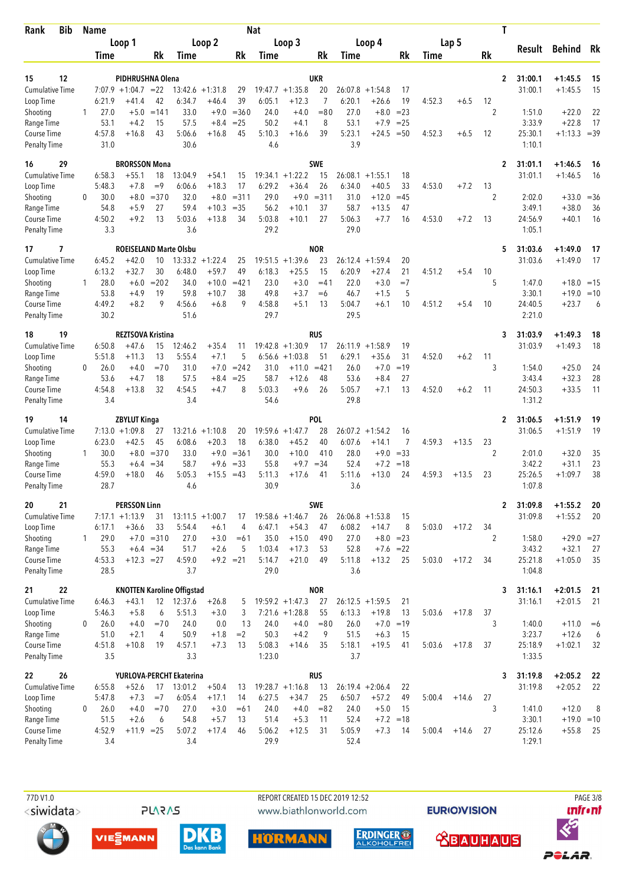| <b>Bib</b><br>Rank                 |              | Name           |                                              |                 |                   |                              |                   | <b>Nat</b>        |                               |                  |                   |                               |                      |        |         | Τ                    |                    |                         |              |
|------------------------------------|--------------|----------------|----------------------------------------------|-----------------|-------------------|------------------------------|-------------------|-------------------|-------------------------------|------------------|-------------------|-------------------------------|----------------------|--------|---------|----------------------|--------------------|-------------------------|--------------|
|                                    |              |                | Loop 1                                       |                 |                   | Loop 2                       |                   |                   | Loop 3                        |                  |                   | Loop 4                        |                      |        | Lap 5   |                      | Result             | Behind Rk               |              |
|                                    |              | Time           |                                              | Rk              | Time              |                              | Rk                | Time              |                               | Rk               | Time              |                               | Rk                   | Time   |         | Rk                   |                    |                         |              |
| 12<br>15                           |              |                | PIDHRUSHNA Olena                             |                 |                   |                              |                   |                   |                               | <b>UKR</b>       |                   |                               |                      |        |         | $\overline{2}$       | 31:00.1            | $+1:45.5$               | 15           |
| <b>Cumulative Time</b>             |              |                | $7:07.9 +1:04.7 = 22$                        |                 |                   | $13:42.6 + 1:31.8$           | 29                |                   | $19:47.7 + 1:35.8$            | 20               | 26:07.8           | $+1:54.8$                     | 17                   |        |         |                      | 31:00.1            | $+1:45.5$               | 15           |
| Loop Time                          |              | 6:21.9         | +41.4                                        | 42              | 6:34.7            | $+46.4$                      | 39                | 6:05.1            | $+12.3$                       | 7                | 6:20.1            | $+26.6$                       | 19                   | 4:52.3 | $+6.5$  | 12                   |                    |                         |              |
| Shooting                           | $\mathbf{1}$ | 27.0           | $+5.0$                                       | $=141$          | 33.0              | $+9.0$                       | $= 360$           | 24.0              | $+4.0$                        | $= 80$           | 27.0              | $+8.0$                        | $= 23$               |        |         | $\overline{2}$       | 1:51.0             | $+22.0$                 | 22           |
| Range Time                         |              | 53.1           | $+4.2$                                       | 15              | 57.5              | $+8.4$                       | $= 25$            | 50.2              | $+4.1$                        | 8                | 53.1              | $+7.9$                        | $= 25$               |        |         |                      | 3:33.9             | $+22.8$                 | 17           |
| Course Time<br><b>Penalty Time</b> |              | 4:57.8<br>31.0 | $+16.8$                                      | 43              | 5:06.6<br>30.6    | $+16.8$                      | 45                | 5:10.3<br>4.6     | $+16.6$                       | 39               | 5:23.1<br>3.9     | $+24.5$                       | $=50$                | 4:52.3 | $+6.5$  | 12                   | 25:30.1<br>1:10.1  | $+1:13.3$               | $=39$        |
| 16<br>29                           |              |                | <b>BRORSSON Mona</b>                         |                 |                   |                              |                   |                   |                               | <b>SWE</b>       |                   |                               |                      |        |         | 2                    | 31:01.1            | $+1:46.5$               | 16           |
| <b>Cumulative Time</b>             |              | 6:58.3         | $+55.1$                                      | 18              | 13:04.9           | $+54.1$                      | 15                | 19:34.1           | $+1:22.2$                     | 15               | 26:08.1           | $+1:55.1$                     | 18                   |        |         |                      | 31:01.1            | $+1:46.5$               | 16           |
| Loop Time                          | 0            | 5:48.3<br>30.0 | $+7.8$<br>$+8.0$                             | $=9$<br>$= 370$ | 6:06.6<br>32.0    | $+18.3$<br>$+8.0$            | 17<br>$= 311$     | 6:29.2<br>29.0    | $+36.4$<br>$+9.0$             | 26<br>$= 311$    | 6:34.0<br>31.0    | $+40.5$<br>$+12.0$            | 33<br>$=45$          | 4:53.0 | $+7.2$  | 13<br>$\overline{2}$ | 2:02.0             | $+33.0$                 |              |
| Shooting<br>Range Time             |              | 54.8           | $+5.9$                                       | 27              | 59.4              | $+10.3$                      | $= 35$            | 56.2              | $+10.1$                       | 37               | 58.7              | $+13.5$                       | 47                   |        |         |                      | 3:49.1             | $+38.0$                 | $= 36$<br>36 |
| Course Time                        |              | 4:50.2         | $+9.2$                                       | 13              | 5:03.6            | $+13.8$                      | 34                | 5:03.8            | $+10.1$                       | 27               | 5:06.3            | $+7.7$                        | 16                   | 4:53.0 | $+7.2$  | 13                   | 24:56.9            | $+40.1$                 | 16           |
| <b>Penalty Time</b>                |              | 3.3            |                                              |                 | 3.6               |                              |                   | 29.2              |                               |                  | 29.0              |                               |                      |        |         |                      | 1:05.1             |                         |              |
| 17<br>7<br><b>Cumulative Time</b>  |              | 6:45.2         | <b>ROEISELAND Marte Olsbu</b><br>$+42.0$     | 10              | 13:33.2           | $+1:22.4$                    |                   | 19:51.5           | $+1:39.6$                     | <b>NOR</b><br>23 | 26:12.4           | $+1:59.4$                     | 20                   |        |         | 5                    | 31:03.6<br>31:03.6 | $+1:49.0$<br>$+1:49.0$  | 17<br>17     |
| Loop Time                          |              | 6:13.2         | $+32.7$                                      | 30              | 6:48.0            | $+59.7$                      | 25<br>49          | 6:18.3            | $+25.5$                       | 15               | 6:20.9            | $+27.4$                       | 21                   | 4:51.2 | $+5.4$  | 10                   |                    |                         |              |
| Shooting                           | 1            | 28.0           | $+6.0$                                       | $= 202$         | 34.0              | $+10.0$                      | $=421$            | 23.0              | $+3.0$                        | $=41$            | 22.0              | $+3.0$                        | $=7$                 |        |         | 5                    | 1:47.0             | $+18.0 = 15$            |              |
| Range Time                         |              | 53.8           | $+4.9$                                       | 19              | 59.8              | +10.7                        | 38                | 49.8              | $+3.7$                        | $=6$             | 46.7              | $+1.5$                        | 5                    |        |         |                      | 3:30.1             | $+19.0$                 | $=10$        |
| Course Time<br><b>Penalty Time</b> |              | 4:49.2<br>30.2 | $+8.2$                                       | 9               | 4:56.6<br>51.6    | $+6.8$                       | 9                 | 4:58.8<br>29.7    | $+5.1$                        | 13               | 5:04.7<br>29.5    | $+6.1$                        | 10                   | 4:51.2 | $+5.4$  | 10                   | 24:40.5<br>2:21.0  | $+23.7$                 | 6            |
| 19<br>18                           |              |                | <b>REZTSOVA Kristina</b>                     |                 |                   |                              |                   |                   |                               | <b>RUS</b>       |                   |                               |                      |        |         | 3                    | 31:03.9            | $+1:49.3$               | 18           |
| Cumulative Time                    |              | 6:50.8         | $+47.6$                                      | 15              | 12:46.2           | +35.4                        | 11                |                   | $19:42.8 + 1:30.9$            | 17               | 26:11.9           | $+1:58.9$                     | 19                   |        |         |                      | 31:03.9            | $+1:49.3$               | 18           |
| Loop Time                          |              | 5:51.8         | $+11.3$                                      | 13              | 5:55.4            | $+7.1$                       | 5                 | 6:56.6            | $+1:03.8$                     | 51               | 6:29.1            | $+35.6$                       | 31                   | 4:52.0 | $+6.2$  | 11                   |                    |                         |              |
| Shooting<br>Range Time             | 0            | 26.0<br>53.6   | $+4.0$<br>$+4.7$                             | $=70$<br>18     | 31.0<br>57.5      | $+7.0$<br>$+8.4$             | $= 242$<br>$= 25$ | 31.0<br>58.7      | $+11.0$<br>$+12.6$            | $=421$<br>48     | 26.0<br>53.6      | $+7.0$<br>$+8.4$              | $=19$<br>27          |        |         | 3                    | 1:54.0<br>3:43.4   | $+25.0$<br>$+32.3$      | 24<br>28     |
| Course Time                        |              | 4:54.8         | $+13.8$                                      | 32              | 4:54.5            | $+4.7$                       | 8                 | 5:03.3            | $+9.6$                        | 26               | 5:05.7            | $+7.1$                        | 13                   | 4:52.0 | $+6.2$  | 11                   | 24:50.3            | $+33.5$                 | 11           |
| <b>Penalty Time</b>                |              | 3.4            |                                              |                 | 3.4               |                              |                   | 54.6              |                               |                  | 29.8              |                               |                      |        |         |                      | 1:31.2             |                         |              |
| 14<br>19                           |              |                | ZBYLUT Kinga                                 |                 |                   |                              |                   |                   |                               | <b>POL</b>       |                   |                               |                      |        |         | $\mathbf{2}$         | 31:06.5            | $+1:51.9$               | 19           |
| <b>Cumulative Time</b>             |              | 6:23.0         | $7:13.0 + 1:09.8$                            | 27<br>45        | 13:21.6<br>6:08.6 | $+1:10.8$                    | 20<br>18          | 19:59.6<br>6:38.0 | $+1:47.7$<br>$+45.2$          | 28<br>40         | 26:07.2<br>6:07.6 | $+1:54.2$<br>$+14.1$          | 16<br>$\overline{7}$ | 4:59.3 |         | 23                   | 31:06.5            | $+1:51.9$               | 19           |
| Loop Time<br>Shooting              | 1            | 30.0           | $+42.5$<br>$+8.0$                            | $= 370$         | 33.0              | $+20.3$<br>$+9.0$            | $= 361$           | 30.0              | $+10.0$                       | 410              | 28.0              | $+9.0$                        | $= 33$               |        | $+13.5$ | 2                    | 2:01.0             | $+32.0$                 | 35           |
| Range Time                         |              | 55.3           | $+6.4$                                       | $=34$           | 58.7              | $+9.6$                       | $= 33$            | 55.8              | $+9.7$                        | $=34$            | 52.4              | $+7.2$                        | $=18$                |        |         |                      | 3:42.2             | $+31.1$                 | 23           |
| Course Time                        |              | 4:59.0         | $+18.0$                                      | 46              | 5:05.3            | $+15.5$                      | $=43$             | 5:11.3            | $+17.6$                       | 41               | 5:11.6            | $+13.0$                       | 24                   | 4:59.3 | $+13.5$ | 23                   | 25:26.5            | $+1:09.7$               | 38           |
| <b>Penalty Time</b>                |              | 28.7           |                                              |                 | 4.6               |                              |                   | 30.9              |                               |                  | 3.6               |                               |                      |        |         |                      | 1:07.8             |                         |              |
| 21<br>20                           |              |                | <b>PERSSON Linn</b>                          |                 |                   |                              |                   |                   |                               | SWE              |                   |                               |                      |        |         | $\mathbf{2}$         | 31:09.8            | $+1:55.2$               | - 20         |
| Cumulative Time<br>Loop Time       |              | 6:17.1         | $7:17.1 + 1:13.9$<br>$+36.6$                 | 31<br>33        | 5:54.4            | $13:11.5 + 1:00.7$<br>$+6.1$ | 17<br>4           | 6:47.1            | $19:58.6 + 1:46.7$<br>$+54.3$ | 26<br>47         | 6:08.2            | $26:06.8 + 1:53.8$<br>$+14.7$ | 15<br>8              | 5:03.0 | $+17.2$ | 34                   | 31:09.8            | $+1:55.2$               | -20          |
| Shooting                           | $\mathbf{1}$ | 29.0           |                                              | $+7.0 = 310$    | 27.0              | $+3.0$                       | $=61$             | 35.0              | $+15.0$                       | 490              | 27.0              | $+8.0 = 23$                   |                      |        |         | 2                    | 1:58.0             | $+29.0 = 27$            |              |
| Range Time                         |              | 55.3           | $+6.4 = 34$                                  |                 | 51.7              | $+2.6$                       | 5                 | 1:03.4            | $+17.3$                       | 53               | 52.8              | $+7.6 = 22$                   |                      |        |         |                      | 3:43.2             | $+32.1$                 | 27           |
| Course Time                        |              | 4:53.3         | $+12.3 = 27$                                 |                 | 4:59.0            |                              | $+9.2 = 21$       | 5:14.7            | $+21.0$                       | 49               | 5:11.8            | $+13.2$                       | 25                   | 5:03.0 | $+17.2$ | 34                   | 25:21.8            | $+1:05.0$               | 35           |
| <b>Penalty Time</b>                |              | 28.5           |                                              |                 | 3.7               |                              |                   | 29.0              |                               |                  | 3.6               |                               |                      |        |         |                      | 1:04.8             |                         |              |
| 21<br>22<br><b>Cumulative Time</b> |              | 6:46.3         | <b>KNOTTEN Karoline Offigstad</b><br>$+43.1$ |                 | 12 12:37.6        | $+26.8$                      | 5                 |                   | $19:59.2 + 1:47.3$            | <b>NOR</b><br>27 |                   | $26:12.5 + 1:59.5$            | 21                   |        |         | 3                    | 31:16.1<br>31:16.1 | $+2:01.5$<br>$+2:01.5$  | 21<br>21     |
| Loop Time                          |              | 5:46.3         | $+5.8$                                       | 6               | 5:51.3            | $+3.0$                       | 3                 |                   | $7:21.6 +1:28.8$              | 55               | 6:13.3            | $+19.8$                       | 13                   | 5:03.6 | $+17.8$ | 37                   |                    |                         |              |
| Shooting                           | 0            | 26.0           | $+4.0$                                       | $=70$           | 24.0              | 0.0                          | 13                | 24.0              | $+4.0$                        | $= 80$           | 26.0              | $+7.0$                        | $=19$                |        |         | 3                    | 1:40.0             | $+11.0$                 | $=6$         |
| Range Time                         |              | 51.0           | $+2.1$                                       | 4               | 50.9              | $+1.8$                       | $=2$              | 50.3              | $+4.2$                        | 9                | 51.5              | $+6.3$                        | 15                   |        |         |                      | 3:23.7             | $+12.6$                 | 6            |
| Course Time<br><b>Penalty Time</b> |              | 4:51.8<br>3.5  | $+10.8$                                      | 19              | 4:57.1<br>3.3     | $+7.3$                       | 13                | 5:08.3<br>1:23.0  | $+14.6$                       | 35               | 5:18.1<br>3.7     | $+19.5$                       | 41                   | 5:03.6 | $+17.8$ | 37                   | 25:18.9<br>1:33.5  | $+1:02.1$               | 32           |
| 22<br>26                           |              |                | YURLOVA-PERCHT Ekaterina                     |                 |                   |                              |                   |                   |                               | <b>RUS</b>       |                   |                               |                      |        |         | 3                    | 31:19.8            | $+2:05.2$               | - 22         |
| <b>Cumulative Time</b>             |              | 6:55.8         | $+52.6$                                      | 17              | 13:01.2           | $+50.4$                      | 13                |                   | $19:28.7 +1:16.8$             | 13               |                   | $26:19.4 + 2:06.4$            | 22                   |        |         |                      | 31:19.8            | $+2:05.2$               | 22           |
| Loop Time                          |              | 5:47.8         | $+7.3$                                       | $=7$            | 6:05.4            | $+17.1$                      | 14                | 6:27.5            | $+34.7$                       | 25               | 6:50.7            | $+57.2$                       | 49                   | 5:00.4 | $+14.6$ | 27                   |                    |                         |              |
| Shooting<br>Range Time             | 0            | 26.0<br>51.5   | $+4.0$<br>$+2.6$                             | $=70$<br>6      | 27.0<br>54.8      | $+3.0$<br>$+5.7$             | $=61$<br>13       | 24.0<br>51.4      | $+4.0$<br>$+5.3$              | $= 82$<br>11     | 24.0<br>52.4      | $+5.0$                        | 15<br>$+7.2 = 18$    |        |         | 3                    | 1:41.0<br>3:30.1   | $+12.0$<br>$+19.0 = 10$ | 8            |
| Course Time                        |              | 4:52.9         | $+11.9$ = 25                                 |                 | 5:07.2            | $+17.4$                      | 46                | 5:06.2            | $+12.5$                       | 31               | 5:05.9            | $+7.3$                        | 14                   | 5:00.4 | $+14.6$ | 27                   | 25:12.6            | $+55.8$                 | -25          |
| <b>Penalty Time</b>                |              | 3.4            |                                              |                 | 3.4               |                              |                   | 29.9              |                               |                  | 52.4              |                               |                      |        |         |                      | 1:29.1             |                         |              |

77D V1.0 <siwidata>



REPORT CREATED 15 DEC 2019 12:52 www.biathlonworld.com



**EURIOVISION** 

**<u> XBAUHAUS</u>** 

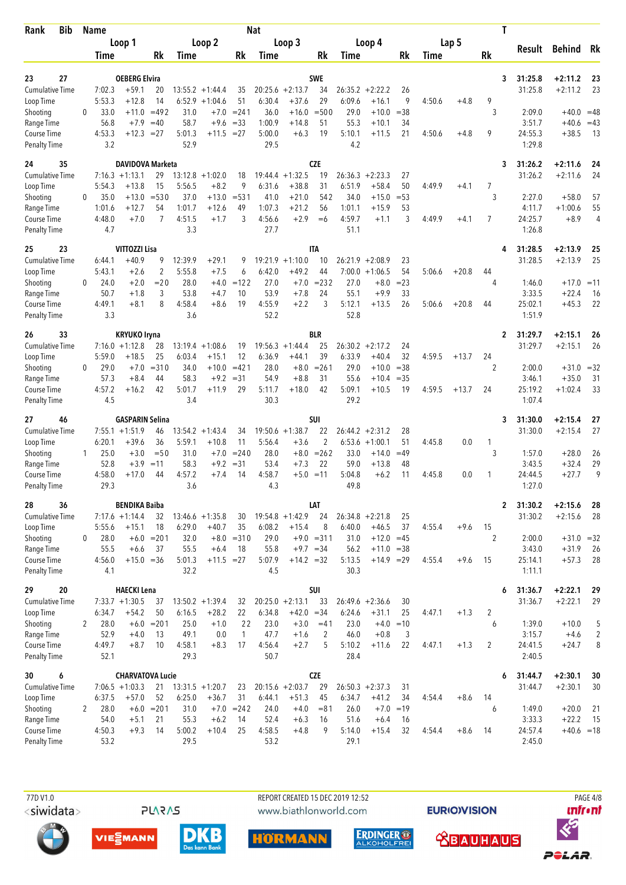| Rank                                             | Bib |                | <b>Name</b>            |                                        |                         |                           |                                |                         | <b>Nat</b>                |                                 |                      |                           |                                 |                    |        |         | Τ            |                             |                         |          |
|--------------------------------------------------|-----|----------------|------------------------|----------------------------------------|-------------------------|---------------------------|--------------------------------|-------------------------|---------------------------|---------------------------------|----------------------|---------------------------|---------------------------------|--------------------|--------|---------|--------------|-----------------------------|-------------------------|----------|
|                                                  |     |                |                        | Loop 1                                 |                         |                           | Loop 2                         |                         |                           | Loop 3                          |                      |                           | Loop 4                          |                    |        | Lap 5   |              | Result                      | Behind Rk               |          |
|                                                  |     |                | Time                   |                                        | Rk                      | Time                      |                                | Rk                      | Time                      |                                 | Rk                   | Time                      |                                 | Rk                 | Time   |         | Rk           |                             |                         |          |
| 23<br><b>Cumulative Time</b>                     | 27  |                | 7:02.3                 | <b>OEBERG Elvira</b><br>$+59.1$        | 20                      |                           | $13:55.2 + 1:44.4$             | 35                      | 20:25.6                   | $+2:13.7$                       | <b>SWE</b><br>34     |                           | $26:35.2 +2:22.2$               | 26                 |        |         | 3            | 31:25.8<br>31:25.8          | $+2:11.2$<br>$+2:11.2$  | 23<br>23 |
| Loop Time<br>Shooting<br>Range Time              |     | 0              | 5:53.3<br>33.0<br>56.8 | $+12.8$<br>$+11.0$<br>$+7.9$           | 14<br>$=492$<br>$=40$   | 6:52.9<br>31.0<br>58.7    | $+1:04.6$<br>$+7.0$<br>$+9.6$  | 51<br>$= 241$<br>$= 33$ | 6:30.4<br>36.0<br>1:00.9  | $+37.6$<br>$+16.0$<br>$+14.8$   | 29<br>$= 500$<br>51  | 6:09.6<br>29.0<br>55.3    | $+16.1$<br>$+10.0$<br>$+10.1$   | 9<br>$= 38$<br>34  | 4:50.6 | $+4.8$  | 9<br>3       | 2:09.0<br>3:51.7            | $+40.0 = 48$<br>$+40.6$ | $=43$    |
| Course Time<br><b>Penalty Time</b>               |     |                | 4:53.3<br>3.2          | $+12.3$                                | $=27$                   | 5:01.3<br>52.9            | $+11.5$                        | $=27$                   | 5:00.0<br>29.5            | $+6.3$                          | 19                   | 5:10.1<br>4.2             | $+11.5$                         | 21                 | 4:50.6 | $+4.8$  | 9            | 24:55.3<br>1:29.8           | $+38.5$                 | 13       |
| 24                                               | 35  |                |                        | <b>DAVIDOVA Marketa</b>                |                         |                           |                                |                         |                           |                                 | <b>CZE</b>           |                           |                                 |                    |        |         | 3            | 31:26.2                     | $+2:11.6$               | 24       |
| <b>Cumulative Time</b><br>Loop Time<br>Shooting  |     | 0              | 5:54.3<br>35.0         | $7:16.3 +1:13.1$<br>$+13.8$<br>$+13.0$ | 29<br>15<br>$= 530$     | 13:12.8<br>5:56.5<br>37.0 | $+1:02.0$<br>$+8.2$<br>$+13.0$ | 18<br>9<br>$= 531$      | 19:44.4<br>6:31.6<br>41.0 | $+1:32.5$<br>$+38.8$<br>$+21.0$ | 19<br>31<br>542      | 26:36.3<br>6:51.9<br>34.0 | $+2:23.3$<br>$+58.4$<br>$+15.0$ | 27<br>50<br>$= 53$ | 4:49.9 | $+4.1$  | 7<br>3       | 31:26.2<br>2:27.0           | $+2:11.6$<br>$+58.0$    | 24<br>57 |
| Range Time<br>Course Time                        |     |                | 1:01.6<br>4:48.0       | $+12.7$<br>$+7.0$                      | 54<br>7                 | 1:01.7<br>4:51.5          | $+12.6$<br>$+1.7$              | 49<br>3                 | 1:07.3<br>4:56.6          | $+21.2$<br>$+2.9$               | 56<br>$=6$           | 1:01.1<br>4:59.7          | $+15.9$<br>$+1.1$               | 53<br>3            | 4:49.9 | $+4.1$  | 7            | 4:11.7<br>24:25.7           | $+1:00.6$<br>$+8.9$     | 55<br>4  |
| <b>Penalty Time</b><br>25                        | 23  |                | 4.7                    | VITTOZZI Lisa                          |                         | 3.3                       |                                |                         | 27.7                      |                                 | <b>ITA</b>           | 51.1                      |                                 |                    |        |         | 4            | 1:26.8<br>31:28.5           | $+2:13.9$               | 25       |
| <b>Cumulative Time</b>                           |     |                | 6:44.1                 | $+40.9$                                | 9                       | 12:39.9                   | $+29.1$                        | 9                       | 19:21.9                   | $+1:10.0$                       | 10                   | 26:21.9                   | $+2:08.9$                       | 23                 |        |         |              | 31:28.5                     | $+2:13.9$               | 25       |
| Loop Time<br>Shooting                            |     | $\mathbf{0}$   | 5:43.1<br>24.0         | $+2.6$<br>$+2.0$                       | $\overline{c}$<br>$=20$ | 5:55.8<br>28.0            | $+7.5$<br>$+4.0$               | 6<br>$=122$             | 6:42.0<br>27.0            | $+49.2$<br>$+7.0$               | 44<br>$= 232$        | 7:00.0<br>27.0            | $+1:06.5$<br>$+8.0$             | 54<br>$= 23$       | 5:06.6 | $+20.8$ | 44<br>4      | 1:46.0                      | $+17.0$                 | $=11$    |
| Range Time                                       |     |                | 50.7                   | $+1.8$                                 | 3                       | 53.8                      | $+4.7$                         | 10                      | 53.9                      | $+7.8$                          | 24                   | 55.1                      | $+9.9$                          | 33                 |        |         |              | 3:33.5                      | $+22.4$                 | 16       |
| Course Time<br><b>Penalty Time</b>               |     |                | 4:49.1<br>3.3          | $+8.1$                                 | 8                       | 4:58.4<br>3.6             | $+8.6$                         | 19                      | 4:55.9<br>52.2            | $+2.2$                          | 3                    | 5:12.1<br>52.8            | $+13.5$                         | 26                 | 5:06.6 | $+20.8$ | 44           | 25:02.1<br>1:51.9           | $+45.3$                 | 22       |
| 26                                               | 33  |                |                        | <b>KRYUKO Iryna</b>                    |                         |                           |                                |                         |                           |                                 | <b>BLR</b>           |                           |                                 |                    |        |         | 2            | 31:29.7                     | $+2:15.1$               | 26       |
| <b>Cumulative Time</b><br>Loop Time              |     |                | 5:59.0                 | $7:16.0 + 1:12.8$<br>$+18.5$           | 28<br>25                | 6:03.4                    | $13:19.4 + 1:08.6$<br>$+15.1$  | 19<br>12                | 6:36.9                    | $19:56.3 + 1:44.4$<br>$+44.1$   | 25<br>39             | 6:33.9                    | $26:30.2 +2:17.2$<br>$+40.4$    | 24<br>32           | 4:59.5 | $+13.7$ | 24           | 31:29.7                     | $+2:15.1$               | 26       |
| Shooting<br>Range Time                           |     | 0              | 29.0<br>57.3           | $+7.0$<br>$+8.4$                       | $= 310$<br>44           | 34.0<br>58.3              | $+10.0$<br>$+9.2$              | $=421$<br>$=31$         | 28.0<br>54.9              | $+8.0$<br>$+8.8$                | $= 261$<br>31        | 29.0<br>55.6              | $+10.0$<br>$+10.4$              | $= 38$<br>$=35$    |        |         | 2            | 2:00.0<br>3:46.1            | $+31.0 = 32$<br>$+35.0$ | 31       |
| Course Time<br><b>Penalty Time</b>               |     |                | 4:57.2<br>4.5          | $+16.2$                                | 42                      | 5:01.7<br>3.4             | $+11.9$                        | 29                      | 5:11.7<br>30.3            | $+18.0$                         | 42                   | 5:09.1<br>29.2            | $+10.5$                         | 19                 | 4:59.5 | $+13.7$ | 24           | 25:19.2<br>1:07.4           | $+1:02.4$               | 33       |
| 27                                               | 46  |                |                        | <b>GASPARIN Selina</b>                 |                         |                           |                                |                         |                           |                                 | SUI                  |                           |                                 |                    |        |         | 3            | 31:30.0                     | $+2:15.4$               | 27       |
| <b>Cumulative Time</b><br>Loop Time              |     |                | 6:20.1                 | $7:55.1 + 1:51.9$<br>$+39.6$           | 46<br>36                | 13:54.2<br>5:59.1         | $+1:43.4$<br>$+10.8$           | 34<br>11                | 5:56.4                    | $19:50.6 + 1:38.7$<br>$+3.6$    | 22<br>$\overline{2}$ | 26:44.2<br>6:53.6         | $+2:31.2$<br>$+1:00.1$          | 28<br>51           | 4:45.8 | 0.0     | 1            | 31:30.0                     | $+2:15.4$               | 27       |
| Shooting                                         |     | 1              | 25.0                   | $+3.0$                                 | $=$ 50                  | 31.0                      | $+7.0$                         | $= 240$                 | 28.0                      |                                 | $+8.0 = 262$         | 33.0                      | $+14.0$                         | $=49$              |        |         | 3            | 1:57.0                      | $+28.0$                 | 26       |
| Range Time<br>Course Time<br><b>Penalty Time</b> |     |                | 52.8<br>4:58.0<br>29.3 | $+3.9$<br>$+17.0$                      | $=11$<br>44             | 58.3<br>4:57.2<br>3.6     | $+9.2$<br>$+7.4$               | $=31$<br>14             | 53.4<br>4:58.7<br>4.3     | $+7.3$<br>$+5.0 = 11$           | 22                   | 59.0<br>5:04.8<br>49.8    | $+13.8$<br>$+6.2$               | 48<br>11           | 4:45.8 | 0.0     | 1            | 3:43.5<br>24:44.5<br>1:27.0 | $+32.4$<br>$+27.7$      | 29<br>9  |
| 28                                               | 36  |                |                        | <b>BENDIKA Baiba</b>                   |                         |                           |                                |                         |                           |                                 | LAT                  |                           |                                 |                    |        |         | $\mathbf{2}$ | 31:30.2                     | $+2:15.6$               | -28      |
| Cumulative Time                                  |     |                |                        | $7:17.6 +1:14.4$                       | 32                      |                           | $13:46.6 + 1:35.8$             | 30                      |                           | $19:54.8 + 1:42.9$              | 24                   |                           | $26:34.8 + 2:21.8$              | 25                 |        |         |              | 31:30.2                     | $+2:15.6$               | 28       |
| Loop Time<br>Shooting                            |     | 0              | 5:55.6<br>28.0         | $+15.1$                                | 18<br>$+6.0 = 201$      | 6:29.0<br>32.0            | $+40.7$                        | 35<br>$+8.0 = 310$      | 6:08.2<br>29.0            | $+15.4$                         | 8<br>$+9.0 = 311$    | 6:40.0<br>31.0            | $+46.5$<br>$+12.0 = 45$         | 37                 | 4:55.4 | $+9.6$  | 15<br>2      | 2:00.0                      | $+31.0 = 32$            |          |
| Range Time                                       |     |                | 55.5                   | $+6.6$                                 | 37                      | 55.5                      | $+6.4$                         | 18                      | 55.8                      | $+9.7 = 34$                     |                      | 56.2                      | $+11.0 = 38$                    |                    |        |         |              | 3:43.0                      | $+31.9$                 | 26       |
| Course Time<br><b>Penalty Time</b>               |     |                | 4:56.0<br>4.1          | $+15.0 = 36$                           |                         | 5:01.3<br>32.2            | $+11.5 = 27$                   |                         | 5:07.9<br>4.5             | $+14.2 = 32$                    |                      | 5:13.5<br>30.3            | $+14.9 = 29$                    |                    | 4:55.4 | $+9.6$  | 15           | 25:14.1<br>1:11.1           | $+57.3$                 | 28       |
| 29                                               | 20  |                |                        | <b>HAECKI Lena</b>                     |                         |                           |                                |                         |                           |                                 | SUI                  |                           |                                 |                    |        |         | 6            | 31:36.7                     | $+2:22.1$               | 29       |
| <b>Cumulative Time</b>                           |     |                |                        | $7:33.7 +1:30.5$                       | 37                      |                           | $13:50.2 + 1:39.4$             | 32                      |                           | $20:25.0 + 2:13.1$              | 33                   |                           | $26:49.6 + 2:36.6$              | 30                 |        |         |              | 31:36.7                     | $+2:22.1$               | 29       |
| Loop Time<br>Shooting                            |     | $\overline{2}$ | 6:34.7<br>28.0         | $+54.2$                                | 50<br>$+6.0 = 201$      | 6:16.5<br>25.0            | $+28.2$<br>$+1.0$              | 22<br>22                | 6:34.8<br>23.0            | $+42.0 = 34$<br>$+3.0$          | $=41$                | 6:24.6<br>23.0            | $+31.1$<br>$+4.0 = 10$          | 25                 | 4:47.1 | $+1.3$  | 2<br>6       | 1:39.0                      | $+10.0$                 | 5        |
| Range Time                                       |     |                | 52.9                   | $+4.0$                                 | 13                      | 49.1                      | 0.0                            | $\mathbf{1}$            | 47.7                      | $+1.6$                          | $\overline{2}$       | 46.0                      | $+0.8$                          | 3                  |        |         |              | 3:15.7                      | $+4.6$                  | 2        |
| Course Time<br><b>Penalty Time</b>               |     |                | 4:49.7<br>52.1         | $+8.7$                                 | 10                      | 4:58.1<br>29.3            | $+8.3$                         | 17                      | 4:56.4<br>50.7            | $+2.7$                          | 5                    | 5:10.2<br>28.4            | $+11.6$                         | 22                 | 4:47.1 | $+1.3$  | 2            | 24:41.5<br>2:40.5           | $+24.7$                 | 8        |
| 30                                               | 6   |                |                        | <b>CHARVATOVA Lucie</b>                |                         |                           |                                |                         |                           |                                 | <b>CZE</b>           |                           |                                 |                    |        |         | 6            | 31:44.7                     | $+2:30.1$               | 30       |
| <b>Cumulative Time</b><br>Loop Time              |     |                | 6:37.5                 | $7:06.5 +1:03.3$<br>$+57.0$            | 21<br>52                | 6:25.0                    | $13:31.5 +1:20.7$<br>$+36.7$   | 23<br>31                | 6:44.1                    | $20:15.6 + 2:03.7$<br>$+51.3$   | 29<br>45             | 6:34.7                    | $26:50.3 + 2:37.3$<br>$+41.2$   | 31<br>34           | 4:54.4 | $+8.6$  | 14           | 31:44.7                     | $+2:30.1$               | 30       |
| Shooting<br>Range Time                           |     | 2              | 28.0<br>54.0           | $+6.0$<br>$+5.1$                       | $= 201$<br>21           | 31.0<br>55.3              | $+7.0$<br>$+6.2$               | $= 242$<br>14           | 24.0<br>52.4              | $+4.0$<br>$+6.3$                | $= 81$<br>16         | 26.0<br>51.6              | $+7.0$<br>$+6.4$                | $=19$<br>16        |        |         | 6            | 1:49.0<br>3:33.3            | $+20.0$<br>$+22.2$      | 21<br>15 |
| Course Time<br><b>Penalty Time</b>               |     |                | 4:50.3<br>53.2         | $+9.3$                                 | 14                      | 5:00.2<br>29.5            | $+10.4$                        | 25                      | 4:58.5<br>53.2            | $+4.8$                          | 9                    | 5:14.0<br>29.1            | $+15.4$                         | 32                 | 4:54.4 | $+8.6$  | 14           | 24:57.4<br>2:45.0           | $+40.6 = 18$            |          |

77D V1.0 <siwidata>

**PLARAS** 

VIESMANN

REPORT CREATED 15 DEC 2019 12:52 www.biathlonworld.com



**EURIOVISION** 





**PAGE 4/8** 

*<u><u>Infront</u>*</u>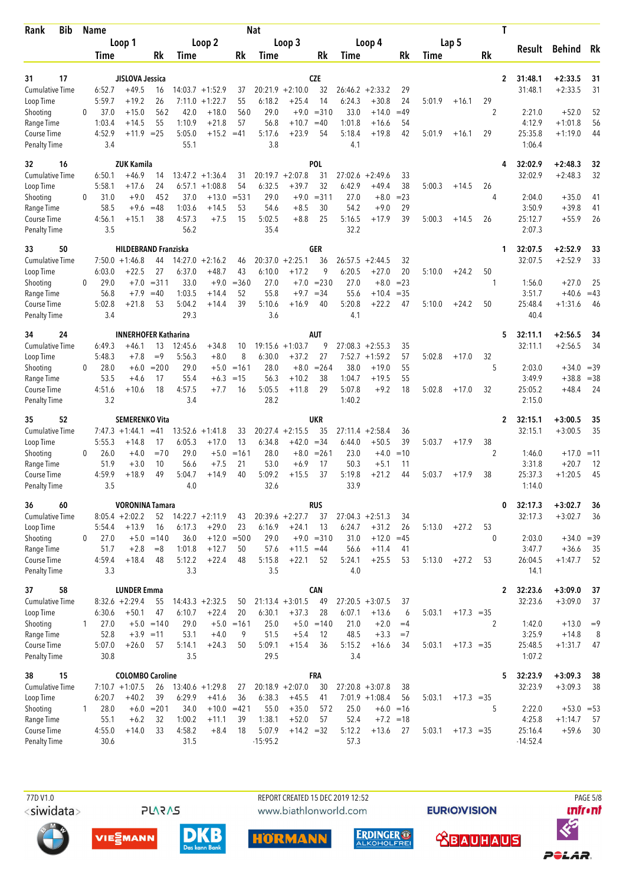| <b>Bib</b><br>Rank                  |              | <b>Name</b>      |                              |                  |                  |                               |                 | <b>Nat</b>     |                               |                   |                  |                                        |                 |        |              | Τ              |                         |                              |             |
|-------------------------------------|--------------|------------------|------------------------------|------------------|------------------|-------------------------------|-----------------|----------------|-------------------------------|-------------------|------------------|----------------------------------------|-----------------|--------|--------------|----------------|-------------------------|------------------------------|-------------|
|                                     |              |                  | Loop 1                       |                  |                  | Loop 2                        |                 |                | Loop 3                        |                   |                  | Loop 4                                 |                 |        | Lap 5        |                | Result                  | Behind                       | Rk          |
|                                     |              | Time             |                              | Rk               | Time             |                               | Rk              | Time           |                               | Rk                | Time             |                                        | Rk              | Time   |              | Rk             |                         |                              |             |
| 17<br>31                            |              |                  | JISLOVA Jessica              |                  |                  |                               |                 |                |                               | <b>CZE</b>        |                  |                                        |                 |        |              |                | $\mathbf{2}$<br>31:48.1 | $+2:33.5$                    | 31          |
| <b>Cumulative Time</b>              |              | 6:52.7           | $+49.5$                      | 16               |                  | $14:03.7 +1:52.9$             | 37              |                | $20:21.9 + 2:10.0$            | 32                |                  | $26:46.2 + 2:33.2$                     | 29              |        |              |                | 31:48.1                 | $+2:33.5$                    | 31          |
| Loop Time                           |              | 5:59.7           | $+19.2$                      | 26               | 7:11.0           | $+1:22.7$                     | 55              | 6:18.2         | $+25.4$                       | 14                | 6:24.3           | $+30.8$                                | 24              | 5:01.9 | $+16.1$      | 29             |                         |                              |             |
| Shooting                            | 0            | 37.0             | $+15.0$                      | 562              | 42.0             | $+18.0$                       | 560             | 29.0           | $+9.0$                        | $= 310$           | 33.0             | $+14.0$                                | $=49$           |        |              | 2              | 2:21.0                  | $+52.0$                      | 52          |
| Range Time<br>Course Time           |              | 1:03.4<br>4:52.9 | $+14.5$<br>$+11.9$ = 25      | 55               | 1:10.9<br>5:05.0 | $+21.8$<br>$+15.2$            | 57<br>$=41$     | 56.8<br>5:17.6 | $+10.7$<br>$+23.9$            | $=40$<br>54       | 1:01.8<br>5:18.4 | $+16.6$<br>$+19.8$                     | 54<br>42        | 5:01.9 | $+16.1$      | 29             | 4:12.9<br>25:35.8       | $+1:01.8$<br>$+1:19.0$       | 56<br>44    |
| <b>Penalty Time</b>                 |              | 3.4              |                              |                  | 55.1             |                               |                 | 3.8            |                               |                   | 4.1              |                                        |                 |        |              |                | 1:06.4                  |                              |             |
| 32<br>16                            |              |                  | <b>ZUK Kamila</b>            |                  |                  |                               |                 |                |                               | POL               |                  |                                        |                 |        |              | 4              | 32:02.9                 | $+2:48.3$                    | 32          |
| <b>Cumulative Time</b>              |              | 6:50.1           | +46.9                        | 14               |                  | $13:47.2 + 1:36.4$            | 31              |                | $20:19.7 + 2:07.8$            | 31                |                  | $27:02.6 + 2:49.6$                     | 33              |        |              |                | 32:02.9                 | $+2:48.3$                    | 32          |
| Loop Time                           |              | 5:58.1           | +17.6                        | 24               |                  | $6:57.1 + 1:08.8$             | 54              | 6:32.5         | $+39.7$                       | 32                | 6:42.9           | $+49.4$                                | 38              | 5:00.3 | $+14.5$      | 26             |                         |                              |             |
| Shooting                            | 0            | 31.0<br>58.5     | $+9.0$<br>$+9.6$             | 452<br>$=48$     | 37.0<br>1:03.6   | $+13.0$<br>$+14.5$            | $= 531$<br>53   | 29.0<br>54.6   | $+9.0$<br>$+8.5$              | $= 311$<br>30     | 27.0<br>54.2     | $+8.0$<br>$+9.0$                       | $= 23$<br>29    |        |              | 4              | 2:04.0<br>3:50.9        | $+35.0$<br>$+39.8$           | 41<br>41    |
| Range Time<br>Course Time           |              | 4:56.1           | $+15.1$                      | 38               | 4:57.3           | $+7.5$                        | 15              | 5:02.5         | $+8.8$                        | 25                | 5:16.5           | $+17.9$                                | 39              | 5:00.3 | $+14.5$      | 26             | 25:12.7                 | $+55.9$                      | 26          |
| <b>Penalty Time</b>                 |              | 3.5              |                              |                  | 56.2             |                               |                 | 35.4           |                               |                   | 32.2             |                                        |                 |        |              |                | 2:07.3                  |                              |             |
| 50<br>33                            |              |                  | <b>HILDEBRAND Franziska</b>  |                  |                  |                               |                 |                |                               | GER               |                  |                                        |                 |        |              | 1              | 32:07.5                 | $+2:52.9$                    | 33          |
| <b>Cumulative Time</b>              |              |                  | $7:50.0 + 1:46.8$            | 44               | 14:27.0          | $+2:16.2$                     | 46              | 20:37.0        | $+2:25.1$                     | 36                | 26:57.5          | $+2:44.5$                              | 32              |        |              |                | 32:07.5                 | $+2:52.9$                    | 33          |
| Loop Time                           |              | 6:03.0           | $+22.5$                      | 27               | 6:37.0           | $+48.7$                       | 43              | 6:10.0         | $+17.2$                       | 9                 | 6:20.5           | $+27.0$                                | 20              | 5:10.0 | $+24.2$      | 50             |                         |                              |             |
| Shooting<br>Range Time              | $\mathbf{0}$ | 29.0<br>56.8     | $+7.0$<br>$+7.9$             | $= 311$<br>$=40$ | 33.0<br>1:03.5   | $+9.0$<br>$+14.4$             | $= 360$<br>52   | 27.0<br>55.8   | $+7.0$<br>$+9.7$              | $= 230$<br>$=34$  | 27.0<br>55.6     | $+8.0$<br>$+10.4$                      | $= 23$<br>$=35$ |        |              | 1              | 1:56.0<br>3:51.7        | $+27.0$<br>$+40.6$           | 25<br>$=43$ |
| Course Time                         |              | 5:02.8           | $+21.8$                      | 53               | 5:04.2           | $+14.4$                       | 39              | 5:10.6         | $+16.9$                       | 40                | 5:20.8           | $+22.2$                                | 47              | 5:10.0 | $+24.2$      | 50             | 25:48.4                 | $+1:31.6$                    | 46          |
| <b>Penalty Time</b>                 |              | 3.4              |                              |                  | 29.3             |                               |                 | 3.6            |                               |                   | 4.1              |                                        |                 |        |              |                | 40.4                    |                              |             |
| 24<br>34                            |              |                  | <b>INNERHOFER Katharina</b>  |                  |                  |                               |                 |                |                               | AUT               |                  |                                        |                 |        |              | 5              | 32:11.1                 | $+2:56.5$                    | 34          |
| <b>Cumulative Time</b>              |              | 6:49.3           | $+46.1$                      | 13               | 12:45.6          | $+34.8$                       | 10              |                | $19:15.6 + 1:03.7$            | 9                 |                  | $27:08.3 + 2:55.3$                     | 35              |        |              |                | 32:11.1                 | $+2:56.5$                    | 34          |
| Loop Time                           |              | 5:48.3           | $+7.8$                       | $=9$             | 5:56.3           | $+8.0$                        | 8               | 6:30.0         | $+37.2$                       | 27                |                  | $7:52.7 +1:59.2$                       | 57              | 5:02.8 | $+17.0$      | 32             |                         |                              |             |
| Shooting<br>Range Time              | 0            | 28.0<br>53.5     | $+6.0$<br>$+4.6$             | $= 200$<br>17    | 29.0<br>55.4     | $+5.0$<br>$+6.3$              | $=161$<br>$=15$ | 28.0<br>56.3   | $+8.0$<br>$+10.2$             | $= 264$<br>38     | 38.0<br>1:04.7   | $+19.0$<br>$+19.5$                     | 55<br>55        |        |              | 5              | 2:03.0<br>3:49.9        | $+34.0 = 39$<br>$+38.8 = 38$ |             |
| Course Time                         |              | 4:51.6           | $+10.6$                      | 18               | 4:57.5           | $+7.7$                        | 16              | 5:05.5         | $+11.8$                       | 29                | 5:07.8           | $+9.2$                                 | 18              | 5:02.8 | $+17.0$      | 32             | 25:05.2                 | $+48.4$                      | 24          |
| <b>Penalty Time</b>                 |              | 3.2              |                              |                  | 3.4              |                               |                 | 28.2           |                               |                   | 1:40.2           |                                        |                 |        |              |                | 2:15.0                  |                              |             |
| 52<br>35                            |              |                  | <b>SEMERENKO Vita</b>        |                  |                  |                               |                 |                |                               | UKR               |                  |                                        |                 |        |              | 2              | 32:15.1                 | $+3:00.5$                    | 35          |
| <b>Cumulative Time</b>              |              |                  | $7:47.3 +1:44.1$             | $=41$            | 13:52.6          | $+1:41.8$                     | 33              |                | $20:27.4 +2:15.5$             | 35                | 27:11.4          | $+2:58.4$                              | 36              |        |              |                | 32:15.1                 | $+3:00.5$                    | 35          |
| Loop Time<br>Shooting               | 0            | 5:55.3<br>26.0   | $+14.8$<br>$+4.0$            | 17<br>$=70$      | 6:05.3<br>29.0   | $+17.0$<br>$+5.0$             | 13<br>$=161$    | 6:34.8<br>28.0 | $+42.0$<br>$+8.0$             | $= 34$<br>$= 261$ | 6:44.0<br>23.0   | $+50.5$<br>$+4.0$                      | 39<br>$=10$     | 5:03.7 | $+17.9$      | 38<br>2        | 1:46.0                  | $+17.0 = 11$                 |             |
| Range Time                          |              | 51.9             | $+3.0$                       | 10               | 56.6             | $+7.5$                        | 21              | 53.0           | $+6.9$                        | 17                | 50.3             | $+5.1$                                 | 11              |        |              |                | 3:31.8                  | $+20.7$                      | 12          |
| Course Time                         |              | 4:59.9           | $+18.9$                      | 49               | 5:04.7           | $+14.9$                       | 40              | 5:09.2         | $+15.5$                       | 37                | 5:19.8           | $+21.2$                                | 44              | 5:03.7 | $+17.9$      | 38             | 25:37.3                 | $+1:20.5$                    | 45          |
| <b>Penalty Time</b>                 |              | 3.5              |                              |                  | 4.0              |                               |                 | 32.6           |                               |                   | 33.9             |                                        |                 |        |              |                | 1:14.0                  |                              |             |
| 36<br>60                            |              |                  | <b>VORONINA Tamara</b>       |                  |                  |                               |                 |                |                               | <b>RUS</b>        |                  |                                        |                 |        |              |                | 0<br>32:17.3            | $+3:02.7$                    | 36          |
| <b>Cumulative Time</b><br>Loop Time |              | 5:54.4           | $8:05.4 +2:02.2$<br>$+13.9$  | 52<br>16         | 6:17.3           | $14:22.7 + 2:11.9$<br>$+29.0$ | 43<br>23        | 6:16.9         | $20:39.6 + 2:27.7$<br>$+24.1$ | 37<br>13          | 6:24.7           | $27:04.3 + 2:51.3$<br>$+31.2$          | 34<br>26        | 5:13.0 | $+27.2$      | 53             | 32:17.3                 | $+3:02.7$                    | 36          |
| Shooting                            | 0            | 27.0             |                              | $+5.0 = 140$     | 36.0             |                               | $+12.0 = 500$   | 29.0           |                               | $+9.0 = 310$      | 31.0             | $+12.0$                                | $=45$           |        |              | $\mathbf{0}$   | 2:03.0                  | $+34.0 = 39$                 |             |
| Range Time                          |              | 51.7             | $+2.8$                       | $= 8$            | 1:01.8           | $+12.7$                       | 50              | 57.6           | $+11.5 = 44$                  |                   | 56.6             | $+11.4$                                | 41              |        |              |                | 3:47.7                  | $+36.6$                      | 35          |
| Course Time                         |              | 4:59.4           | $+18.4$                      | 48               | 5:12.2           | $+22.4$                       | 48              | 5:15.8         | $+22.1$                       | 52                | 5:24.1           | $+25.5$                                | 53              | 5:13.0 | $+27.2$      | 53             | 26:04.5                 | $+1:47.7$                    | 52          |
| <b>Penalty Time</b>                 |              | 3.3              |                              |                  | 3.3              |                               |                 | 3.5            |                               |                   | 4.0              |                                        |                 |        |              |                | 14.1                    |                              |             |
| 58<br>37                            |              |                  | <b>LUNDER Emma</b>           |                  |                  |                               |                 |                |                               | <b>CAN</b>        |                  |                                        |                 |        |              |                | $\mathbf{2}$<br>32:23.6 | $+3:09.0$                    | 37          |
| <b>Cumulative Time</b><br>Loop Time |              | 6:30.6           | $8:32.6 + 2:29.4$<br>$+50.1$ | 55<br>47         | 6:10.7           | $14:43.3 + 2:32.5$<br>$+22.4$ | 50<br>20        | 6:30.1         | $21:13.4 + 3:01.5$<br>$+37.3$ | 49<br>28          | 6:07.1           | $27:20.5 + 3:07.5$<br>$+13.6$          | 37<br>6         | 5:03.1 | $+17.3 = 35$ |                | 32:23.6                 | $+3:09.0$                    | 37          |
| Shooting                            | $\mathbf{1}$ | 27.0             |                              | $+5.0 = 140$     | 29.0             |                               | $+5.0 = 161$    | 25.0           | $+5.0$                        | $=140$            | 21.0             | $+2.0$                                 | $=4$            |        |              | $\overline{2}$ | 1:42.0                  | $+13.0$                      | $=9$        |
| Range Time                          |              | 52.8             | $+3.9 = 11$                  |                  | 53.1             | $+4.0$                        | 9               | 51.5           | $+5.4$                        | 12                | 48.5             | $+3.3$                                 | $=7$            |        |              |                | 3:25.9                  | $+14.8$                      | 8           |
| Course Time                         |              | 5:07.0           | $+26.0$                      | 57               | 5:14.1           | $+24.3$                       | 50              | 5:09.1         | $+15.4$                       | 36                | 5:15.2           | $+16.6$                                | 34              | 5:03.1 | $+17.3 = 35$ |                | 25:48.5                 | $+1:31.7$                    | 47          |
| <b>Penalty Time</b>                 |              | 30.8             |                              |                  | 3.5              |                               |                 | 29.5           |                               |                   | 3.4              |                                        |                 |        |              |                | 1:07.2                  |                              |             |
| 15<br>38                            |              |                  | <b>COLOMBO Caroline</b>      |                  |                  |                               |                 |                |                               | <b>FRA</b>        |                  |                                        |                 |        |              |                | 5<br>32:23.9            | $+3:09.3$                    | 38          |
| <b>Cumulative Time</b><br>Loop Time |              | 6:20.7           | $7:10.7 +1:07.5$<br>$+40.2$  | 26<br>39         | 6:29.9           | $13:40.6 + 1:29.8$<br>$+41.6$ | 27<br>36        | 6:38.3         | $20:18.9 + 2:07.0$<br>$+45.5$ | 30<br>41          |                  | $27:20.8 + 3:07.8$<br>$7:01.9 +1:08.4$ | 38<br>56        | 5:03.1 | $+17.3 = 35$ |                | 32:23.9                 | $+3:09.3$                    | 38          |
| Shooting                            | $\mathbf{1}$ | 28.0             |                              | $+6.0 = 201$     | 34.0             |                               | $+10.0 = 421$   | 55.0           | $+35.0$                       | 572               | 25.0             |                                        | $+6.0 = 16$     |        |              | 5              | 2:22.0                  | $+53.0 = 53$                 |             |
| Range Time                          |              | 55.1             | $+6.2$                       | 32               | 1:00.2           | $+11.1$                       | 39              | 1:38.1         | $+52.0$                       | 57                | 52.4             |                                        | $+7.2 = 18$     |        |              |                | 4:25.8                  | $+1:14.7$                    | 57          |
| Course Time                         |              | 4:55.0           | $+14.0$                      | 33               | 4:58.2           | $+8.4$                        | 18              | 5:07.9         | $+14.2 = 32$                  |                   | 5:12.2           | $+13.6$                                | 27              | 5:03.1 | $+17.3 = 35$ |                | 25:16.4                 | $+59.6$                      | 30          |
| <b>Penalty Time</b>                 |              | 30.6             |                              |                  | 31.5             |                               |                 | $-15:95.2$     |                               |                   | 57.3             |                                        |                 |        |              |                | $-14:52.4$              |                              |             |

<siwidata>

**PLARAS** 

 77D V1.0 REPORT CREATED 15 DEC 2019 12:52 PAGE 5/8www.biathlonworld.com

**EURIOVISION** 













POLAR.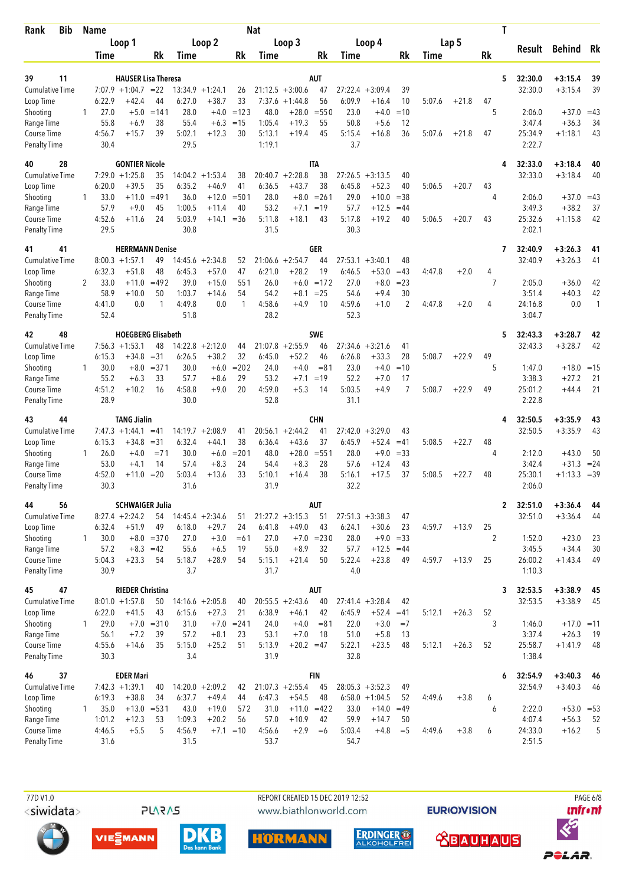| Bib<br>Rank                         |              | <b>Name</b>    |                                      |              |                |                                 |               | <b>Nat</b>        |                               |                  |                   |                               |                      |             |         | Τ            |                    |                        |              |
|-------------------------------------|--------------|----------------|--------------------------------------|--------------|----------------|---------------------------------|---------------|-------------------|-------------------------------|------------------|-------------------|-------------------------------|----------------------|-------------|---------|--------------|--------------------|------------------------|--------------|
|                                     |              |                | Loop 1                               |              |                | Loop 2                          |               |                   | Loop 3                        |                  |                   | Loop 4                        |                      |             | Lap 5   |              | Result             | <b>Behind</b>          | Rk           |
|                                     |              | Time           |                                      | Rk           | Time           |                                 | Rk            | Time              |                               | Rk               | Time              |                               | Rk                   | <b>Time</b> |         | Rk           |                    |                        |              |
| 39<br>11                            |              |                | <b>HAUSER Lisa Theresa</b>           |              |                |                                 |               |                   |                               | AUT              |                   |                               |                      |             |         | 5            | 32:30.0            | $+3:15.4$              | 39           |
| <b>Cumulative Time</b>              |              |                | $7:07.9 +1:04.7 = 22$                |              | 13:34.9        | $+1:24.1$                       | 26            |                   | $21:12.5 + 3:00.6$            | 47               | 27:22.4           | $+3:09.4$                     | 39                   |             |         |              | 32:30.0            | $+3:15.4$              | 39           |
| Loop Time                           |              | 6:22.9         | $+42.4$                              | 44           | 6:27.0         | $+38.7$                         | 33            | 7:37.6            | $+1:44.8$                     | 56               | 6:09.9            | $+16.4$                       | 10                   | 5:07.6      | $+21.8$ | 47           |                    |                        |              |
| Shooting                            | 1            | 27.0           | $+5.0$                               | $=141$       | 28.0           | $+4.0$                          | $=123$        | 48.0              | $+28.0$                       | $= 550$          | 23.0              | $+4.0$                        | $=10$                |             |         | 5            | 2:06.0             | $+37.0$                | $=43$        |
| Range Time                          |              | 55.8           | $+6.9$                               | 38<br>39     | 55.4           | $+6.3$                          | $=15$         | 1:05.4            | $+19.3$                       | 55<br>45         | 50.8              | $+5.6$                        | 12<br>36             |             |         | 47           | 3:47.4             | $+36.3$                | 34           |
| Course Time<br><b>Penalty Time</b>  |              | 4:56.7<br>30.4 | $+15.7$                              |              | 5:02.1<br>29.5 | $+12.3$                         | 30            | 5:13.1<br>1:19.1  | $+19.4$                       |                  | 5:15.4<br>3.7     | $+16.8$                       |                      | 5:07.6      | $+21.8$ |              | 25:34.9<br>2:22.7  | $+1:18.1$              | 43           |
| 28<br>40                            |              |                | <b>GONTIER Nicole</b>                |              |                |                                 |               |                   |                               | <b>ITA</b>       |                   |                               |                      |             |         | 4            | 32:33.0            | $+3:18.4$              | 40           |
| Cumulative Time                     |              |                | $7:29.0 +1:25.8$                     | 35           | 14:04.2        | $+1:53.4$                       | 38            | 20:40.7           | $+2:28.8$                     | 38               | 27:26.5           | $+3:13.5$                     | 40                   |             |         |              | 32:33.0            | $+3:18.4$              | 40           |
| Loop Time<br>Shooting               | 1            | 6:20.0<br>33.0 | $+39.5$<br>$+11.0$                   | 35<br>$=491$ | 6:35.2<br>36.0 | $+46.9$<br>$+12.0$              | 41<br>$=$ 501 | 6:36.5<br>28.0    | $+43.7$<br>$+8.0$             | 38<br>$= 261$    | 6:45.8<br>29.0    | $+52.3$<br>$+10.0$            | 40<br>$=38$          | 5:06.5      | $+20.7$ | 43<br>4      | 2:06.0             | $+37.0 = 43$           |              |
| Range Time                          |              | 57.9           | $+9.0$                               | 45           | 1:00.5         | $+11.4$                         | 40            | 53.2              | $+7.1$                        | $=19$            | 57.7              | $+12.5$                       | $=44$                |             |         |              | 3:49.3             | $+38.2$                | 37           |
| Course Time                         |              | 4:52.6         | $+11.6$                              | 24           | 5:03.9         | $+14.1 = 36$                    |               | 5:11.8            | $+18.1$                       | 43               | 5:17.8            | $+19.2$                       | 40                   | 5:06.5      | $+20.7$ | 43           | 25:32.6            | $+1:15.8$              | 42           |
| <b>Penalty Time</b>                 |              | 29.5           |                                      |              | 30.8           |                                 |               | 31.5              |                               |                  | 30.3              |                               |                      |             |         |              | 2:02.1             |                        |              |
| 41<br>41                            |              |                | <b>HERRMANN Denise</b>               |              |                |                                 |               |                   |                               | GER              |                   |                               |                      |             |         | 7            | 32:40.9            | $+3:26.3$              | 41           |
| <b>Cumulative Time</b><br>Loop Time |              | 6:32.3         | $8:00.3 +1:57.1$<br>$+51.8$          | 49<br>48     | 6:45.3         | $14:45.6 + 2:34.8$<br>$+57.0$   | 52<br>47      | 21:06.6<br>6:21.0 | $+2:54.7$<br>$+28.2$          | 44<br>19         | 27:53.1<br>6:46.5 | $+3:40.1$<br>$+53.0$          | 48<br>$=43$          | 4:47.8      | $+2.0$  | 4            | 32:40.9            | $+3:26.3$              | 41           |
| Shooting                            | 2            | 33.0           | $+11.0$                              | $=492$       | 39.0           | $+15.0$                         | 551           | 26.0              | $+6.0$                        | $=172$           | 27.0              | $+8.0$                        | $= 23$               |             |         | 7            | 2:05.0             | $+36.0$                | 42           |
| Range Time                          |              | 58.9           | $+10.0$                              | 50           | 1:03.7         | $+14.6$                         | 54            | 54.2              | $+8.1$                        | $= 25$           | 54.6              | $+9.4$                        | 30                   |             |         |              | 3:51.4             | $+40.3$                | 42           |
| Course Time<br>Penalty Time         |              | 4:41.0<br>52.4 | 0.0                                  | $\mathbf{1}$ | 4:49.8<br>51.8 | 0.0                             | $\mathbf{1}$  | 4:58.6<br>28.2    | $+4.9$                        | 10               | 4:59.6<br>52.3    | $+1.0$                        | $\overline{2}$       | 4:47.8      | $+2.0$  | 4            | 24:16.8<br>3:04.7  | 0.0                    | 1            |
| 48<br>42                            |              |                | <b>HOEGBERG Elisabeth</b>            |              |                |                                 |               |                   |                               | <b>SWE</b>       |                   |                               |                      |             |         | 5            | 32:43.3            | $+3:28.7$              | 42           |
| <b>Cumulative Time</b>              |              |                | $7:56.3 +1:53.1$                     | 48           |                | $14:22.8 + 2:12.0$              | 44            | 21:07.8           | $+2:55.9$                     | 46               |                   | $27:34.6 + 3:21.6$            | 41                   |             |         |              | 32:43.3            | $+3:28.7$              | 42           |
| Loop Time                           |              | 6:15.3         | $+34.8$                              | $=31$        | 6:26.5         | $+38.2$                         | 32            | 6:45.0            | $+52.2$                       | 46               | 6:26.8            | $+33.3$                       | 28                   | 5:08.7      | $+22.9$ | 49           |                    |                        |              |
| Shooting                            | 1            | 30.0           | $+8.0$                               | $=$ 371      | 30.0           | $+6.0$                          | $= 202$       | 24.0              | $+4.0$                        | $= 81$           | 23.0              | $+4.0$                        | $=10$                |             |         | 5            | 1:47.0             | $+18.0 = 15$           |              |
| Range Time<br>Course Time           |              | 55.2<br>4:51.2 | $+6.3$<br>$+10.2$                    | 33<br>16     | 57.7<br>4:58.8 | $+8.6$<br>$+9.0$                | 29<br>20      | 53.2<br>4:59.0    | $+7.1$<br>$+5.3$              | $=19$<br>14      | 52.2<br>5:03.5    | $+7.0$<br>$+4.9$              | 17<br>$\overline{7}$ | 5:08.7      | $+22.9$ | 49           | 3:38.3<br>25:01.2  | $+27.2$<br>$+44.4$     | 21<br>21     |
| <b>Penalty Time</b>                 |              | 28.9           |                                      |              | 30.0           |                                 |               | 52.8              |                               |                  | 31.1              |                               |                      |             |         |              | 2:22.8             |                        |              |
| 44<br>43                            |              |                | <b>TANG Jialin</b>                   |              |                |                                 |               |                   |                               | CHN              |                   |                               |                      |             |         | 4            | 32:50.5            | +3:35.9                | 43           |
| <b>Cumulative Time</b>              |              |                | $7:47.3 + 1:44.1$                    | $=41$        | 14:19.7        | $+2:08.9$                       | 41            |                   | $20:56.1 + 2:44.2$            | 41               | 27:42.0           | $+3:29.0$                     | 43                   |             |         |              | 32:50.5            | $+3:35.9$              | 43           |
| Loop Time                           |              | 6:15.3         | $+34.8$                              | $=31$        | 6:32.4         | $+44.1$                         | 38            | 6:36.4            | $+43.6$                       | 37               | 6:45.9            | $+52.4$                       | $=41$                | 5:08.5      | $+22.7$ | 48<br>4      |                    |                        |              |
| Shooting<br>Range Time              | 1            | 26.0<br>53.0   | $+4.0$<br>$+4.1$                     | $= 71$<br>14 | 30.0<br>57.4   | $+6.0$<br>$+8.3$                | $= 201$<br>24 | 48.0<br>54.4      | $+28.0$<br>$+8.3$             | $= 551$<br>28    | 28.0<br>57.6      | $+9.0$<br>$+12.4$             | $= 33$<br>43         |             |         |              | 2:12.0<br>3:42.4   | $+43.0$<br>$+31.3$     | 50<br>$= 24$ |
| Course Time                         |              | 4:52.0         | $+11.0$                              | $=20$        | 5:03.4         | $+13.6$                         | 33            | 5:10.1            | $+16.4$                       | 38               | 5:16.1            | +17.5                         | 37                   | 5:08.5      | $+22.7$ | 48           | 25:30.1            | $+1:13.3$              | $=39$        |
| <b>Penalty Time</b>                 |              | 30.3           |                                      |              | 31.6           |                                 |               | 31.9              |                               |                  | 32.2              |                               |                      |             |         |              | 2:06.0             |                        |              |
| 56<br>44                            |              |                | <b>SCHWAIGER Julia</b>               |              |                |                                 |               |                   |                               | AUT              |                   |                               |                      |             |         | $\mathbf{2}$ | 32:51.0            | $+3:36.4$              | 44           |
| <b>Cumulative Time</b><br>Loop Time |              | 6:32.4         | $8:27.4 +2:24.2$<br>$+51.9$          | 49           | 6:18.0         | $54$ 14:45.4 +2:34.6<br>$+29.7$ | 51<br>24      | 6:41.8            | $21:27.2 + 3:15.3$<br>$+49.0$ | 51<br>43         | 6:24.1            | $27:51.3 + 3:38.3$<br>$+30.6$ | 47<br>23             | 4:59.7      | $+13.9$ | 25           | 32:51.0            | $+3:36.4$              | 44           |
| Shooting                            | $\mathbf{1}$ | 30.0           |                                      | $+8.0 = 370$ | 27.0           | $+3.0$                          | $=61$         | 27.0              |                               | $+7.0 = 230$     | 28.0              | $+9.0 = 33$                   |                      |             |         | 2            | 1:52.0             | $+23.0$                | 23           |
| Range Time                          |              | 57.2           | $+8.3 = 42$                          |              | 55.6           | $+6.5$                          | 19            | 55.0              | $+8.9$                        | 32               | 57.7              | $+12.5 = 44$                  |                      |             |         |              | 3:45.5             | $+34.4$                | 30           |
| Course Time                         |              | 5:04.3         | $+23.3$                              | 54           | 5:18.7         | $+28.9$                         | 54            | 5:15.1            | $+21.4$                       | 50               | 5:22.4            | $+23.8$                       | 49                   | 4:59.7      | $+13.9$ | 25           | 26:00.2            | $+1:43.4$              | 49           |
| <b>Penalty Time</b>                 |              | 30.9           |                                      |              | 3.7            |                                 |               | 31.7              |                               |                  | 4.0               |                               |                      |             |         |              | 1:10.3             |                        |              |
| 47<br>45                            |              |                | <b>RIEDER Christina</b>              |              |                |                                 |               |                   |                               | AUT              |                   |                               |                      |             |         | 3            | 32:53.5            | $+3:38.9$              | 45           |
| <b>Cumulative Time</b><br>Loop Time |              | 6:22.0         | $8:01.0 +1:57.8$<br>$+41.5$          | 50<br>43     | 6:15.6         | $14:16.6 + 2:05.8$<br>$+27.3$   | 40<br>21      | 6:38.9            | $20:55.5 + 2:43.6$<br>$+46.1$ | 40<br>42         | 6:45.9            | $27:41.4 + 3:28.4$<br>$+52.4$ | 42<br>$=41$          | 5:12.1      | $+26.3$ | 52           | 32:53.5            | $+3:38.9$              | 45           |
| Shooting                            | $\mathbf{1}$ | 29.0           | $+7.0$                               | $= 310$      | 31.0           | $+7.0$                          | $= 241$       | 24.0              | $+4.0$                        | $= 81$           | 22.0              | $+3.0$                        | $=7$                 |             |         | 3            | 1:46.0             | $+17.0 = 11$           |              |
| Range Time                          |              | 56.1           | $+7.2$                               | 39           | 57.2           | $+8.1$                          | 23            | 53.1              | $+7.0$                        | 18               | 51.0              | $+5.8$                        | 13                   |             |         |              | 3:37.4             | $+26.3$                | 19           |
| Course Time                         |              | 4:55.6         | $+14.6$                              | 35           | 5:15.0         | $+25.2$                         | 51            | 5:13.9            | $+20.2 = 47$                  |                  | 5:22.1            | $+23.5$                       | 48                   | 5:12.1      | $+26.3$ | 52           | 25:58.7            | $+1:41.9$              | 48           |
| <b>Penalty Time</b>                 |              | 30.3           |                                      |              | 3.4            |                                 |               | 31.9              |                               |                  | 32.8              |                               |                      |             |         |              | 1:38.4             |                        |              |
| 46<br>37<br><b>Cumulative Time</b>  |              |                | <b>EDER Mari</b><br>$7:42.3 +1:39.1$ | 40           |                | $14:20.0 + 2:09.2$              | 42            |                   | $21:07.3 + 2:55.4$            | <b>FIN</b><br>45 |                   | $28:05.3 + 3:52.3$            | 49                   |             |         | 6            | 32:54.9<br>32:54.9 | $+3:40.3$<br>$+3:40.3$ | 46<br>46     |
| Loop Time                           |              | 6:19.3         | $+38.8$                              | 34           | 6:37.7         | $+49.4$                         | 44            | 6:47.3            | $+54.5$                       | 48               |                   | $6:58.0 + 1:04.5$             | 52                   | 4:49.6      | $+3.8$  | 6            |                    |                        |              |
| Shooting                            | 1            | 35.0           | $+13.0$                              | $= 531$      | 43.0           | $+19.0$                         | 572           | 31.0              | $+11.0$                       | $=422$           | 33.0              | $+14.0$                       | $=49$                |             |         | 6            | 2:22.0             | $+53.0 = 53$           |              |
| Range Time                          |              | 1:01.2         | $+12.3$                              | 53           | 1:09.3         | $+20.2$                         | 56            | 57.0              | $+10.9$                       | 42               | 59.9              | $+14.7$                       | 50                   |             |         |              | 4:07.4             | $+56.3$                | 52           |
| Course Time                         |              | 4:46.5         | $+5.5$                               | 5            | 4:56.9         |                                 | $+7.1 = 10$   | 4:56.6            | $+2.9$                        | $=6$             | 5:03.4            | $+4.8$                        | $=$ 5                | 4:49.6      | $+3.8$  | 6            | 24:33.0            | $+16.2$                | 5            |
| <b>Penalty Time</b>                 |              | 31.6           |                                      |              | 31.5           |                                 |               | 53.7              |                               |                  | 54.7              |                               |                      |             |         |              | 2:51.5             |                        |              |

<siwidata>

**PLARAS** 

 77D V1.0 REPORT CREATED 15 DEC 2019 12:52 PAGE 6/8www.biathlonworld.com









**EURIOVISION** 

**<u> XBAUHAUS</u>** 

*<u><u>Infront</u>*</u>

POLAR.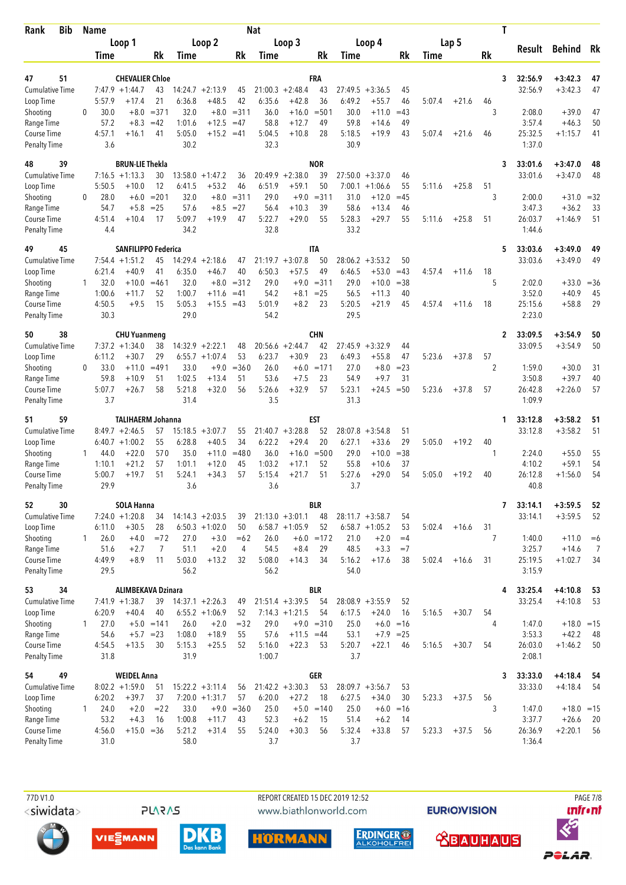| Bib<br>Rank                         | <b>Name</b>                  |                                      |                   |                  |                                        |                  | <b>Nat</b>     |                                        |               |                   |                                        |                 |        |         |         | Τ            |                  |                      |                |
|-------------------------------------|------------------------------|--------------------------------------|-------------------|------------------|----------------------------------------|------------------|----------------|----------------------------------------|---------------|-------------------|----------------------------------------|-----------------|--------|---------|---------|--------------|------------------|----------------------|----------------|
|                                     |                              | Loop 1                               |                   |                  | Loop 2                                 |                  |                | Loop 3                                 |               |                   | Loop 4                                 |                 |        | Lap 5   |         | Result       |                  | Behind Rk            |                |
|                                     | Time                         |                                      | Rk                | Time             |                                        | Rk               | Time           |                                        | Rk            | Time              |                                        | Rk              | Time   |         | Rk      |              |                  |                      |                |
| 51<br>47                            |                              | <b>CHEVALIER Chloe</b>               |                   |                  |                                        |                  |                |                                        | FRA           |                   |                                        |                 |        |         |         | 32:56.9<br>3 |                  | $+3:42.3$            | 47             |
| <b>Cumulative Time</b>              |                              | $7:47.9 + 1:44.7$                    | 43                | 14:24.7          | $+2:13.9$                              | 45               |                | $21:00.3 + 2:48.4$                     | 43            | 27:49.5           | $+3:36.5$                              | 45              |        |         |         | 32:56.9      |                  | $+3:42.3$            | 47             |
| Loop Time                           | 5:57.9                       | +17.4                                | 21                | 6:36.8           | $+48.5$                                | 42               | 6:35.6         | $+42.8$                                | 36            | 6:49.2            | $+55.7$                                | 46              | 5:07.4 | $+21.6$ | 46      |              |                  |                      |                |
| Shooting                            | 30.0<br>0                    | $+8.0$                               | $= 371$           | 32.0             | $+8.0$                                 | $= 311$          | 36.0           | $+16.0$                                | $= 501$       | 30.0              | $+11.0$                                | $=43$           |        |         | 3       |              | 2:08.0           | $+39.0$              | 47             |
| Range Time<br>Course Time           | 57.2<br>4:57.1               | $+8.3$<br>$+16.1$                    | $=42$<br>41       | 1:01.6<br>5:05.0 | $+12.5$<br>$+15.2$                     | $=47$<br>$=41$   | 58.8<br>5:04.5 | $+12.7$<br>$+10.8$                     | 49<br>28      | 59.8<br>5:18.5    | $+14.6$<br>$+19.9$                     | 49<br>43        | 5:07.4 | $+21.6$ | 46      | 25:32.5      | 3:57.4           | $+46.3$<br>$+1:15.7$ | 50<br>41       |
| <b>Penalty Time</b>                 | 3.6                          |                                      |                   | 30.2             |                                        |                  | 32.3           |                                        |               | 30.9              |                                        |                 |        |         |         |              | 1:37.0           |                      |                |
| 48<br>39                            |                              | <b>BRUN-LIE Thekla</b>               |                   |                  |                                        |                  |                |                                        | <b>NOR</b>    |                   |                                        |                 |        |         |         | 33:01.6<br>3 |                  | $+3:47.0$            | 48             |
| <b>Cumulative Time</b>              |                              | $7:16.5 +1:13.3$                     | 30                | 13:58.0          | $+1:47.2$                              | 36               | 20:49.9        | $+2:38.0$                              | 39            |                   | $27:50.0 +3:37.0$                      | 46              |        |         |         | 33:01.6      |                  | $+3:47.0$            | 48             |
| Loop Time                           | 5:50.5                       | $+10.0$                              | 12                | 6:41.5           | $+53.2$                                | 46               | 6:51.9         | $+59.1$                                | 50            | 7:00.1            | $+1:06.6$                              | 55              | 5:11.6 | $+25.8$ | 51      |              |                  |                      |                |
| Shooting<br>Range Time              | 28.0<br>$\mathbf{0}$<br>54.7 | $+6.0$<br>$+5.8$                     | $= 201$<br>$= 25$ | 32.0<br>57.6     | $+8.0$<br>$+8.5$                       | $= 311$<br>$=27$ | 29.0<br>56.4   | $+9.0$<br>$+10.3$                      | $= 311$<br>39 | 31.0<br>58.6      | $+12.0$<br>$+13.4$                     | $=45$<br>46     |        |         | 3       |              | 2:00.0<br>3:47.3 | $+31.0$<br>$+36.2$   | $=32$<br>33    |
| Course Time                         | 4:51.4                       | $+10.4$                              | 17                | 5:09.7           | $+19.9$                                | 47               | 5:22.7         | $+29.0$                                | 55            | 5:28.3            | $+29.7$                                | 55              | 5:11.6 | $+25.8$ | 51      | 26:03.7      |                  | $+1:46.9$            | 51             |
| <b>Penalty Time</b>                 | 4.4                          |                                      |                   | 34.2             |                                        |                  | 32.8           |                                        |               | 33.2              |                                        |                 |        |         |         |              | 1:44.6           |                      |                |
| 45<br>49                            |                              | <b>SANFILIPPO Federica</b>           |                   |                  |                                        |                  |                |                                        | <b>ITA</b>    |                   |                                        |                 |        |         |         | 33:03.6<br>5 |                  | $+3:49.0$            | 49             |
| <b>Cumulative Time</b>              |                              | $7:54.4 + 1:51.2$                    | 45                |                  | $14:29.4 + 2:18.6$                     | 47               |                | $21:19.7 + 3:07.8$                     | 50            | 28:06.2           | $+3:53.2$                              | 50              |        |         |         | 33:03.6      |                  | $+3:49.0$            | 49             |
| Loop Time<br>Shooting               | 6:21.4<br>32.0<br>1.         | $+40.9$<br>$+10.0$                   | 41<br>$= 461$     | 6:35.0<br>32.0   | $+46.7$<br>$+8.0$                      | 40<br>$= 312$    | 6:50.3<br>29.0 | $+57.5$<br>$+9.0$                      | 49<br>$= 311$ | 6:46.5<br>29.0    | $+53.0$<br>$+10.0$                     | $=43$<br>$= 38$ | 4:57.4 | $+11.6$ | 18<br>5 |              | 2:02.0           | $+33.0$              | $=36$          |
| Range Time                          | 1:00.6                       | $+11.7$                              | 52                | 1:00.7           | $+11.6$                                | $=41$            | 54.2           | $+8.1$                                 | $= 25$        | 56.5              | $+11.3$                                | 40              |        |         |         |              | 3:52.0           | $+40.9$              | 45             |
| Course Time                         | 4:50.5                       | $+9.5$                               | 15                | 5:05.3           | $+15.5 = 43$                           |                  | 5:01.9         | $+8.2$                                 | 23            | 5:20.5            | $+21.9$                                | 45              | 4:57.4 | $+11.6$ | 18      | 25:15.6      |                  | $+58.8$              | 29             |
| <b>Penalty Time</b>                 | 30.3                         |                                      |                   | 29.0             |                                        |                  | 54.2           |                                        |               | 29.5              |                                        |                 |        |         |         |              | 2:23.0           |                      |                |
| 38<br>50                            |                              | <b>CHU Yuanmeng</b>                  |                   |                  |                                        |                  |                |                                        | <b>CHN</b>    |                   |                                        |                 |        |         |         | 33:09.5<br>2 |                  | $+3:54.9$            | 50             |
| <b>Cumulative Time</b>              |                              | $7:37.2 + 1:34.0$                    | 38                |                  | $14:32.9 + 2:22.1$                     | 48               |                | $20:56.6 + 2:44.7$                     | 42            | 27:45.9           | $+3:32.9$                              | 44              |        |         |         | 33:09.5      |                  | $+3:54.9$            | 50             |
| Loop Time                           | 6:11.2<br>33.0<br>0          | $+30.7$<br>$+11.0$                   | 29<br>$=491$      | 33.0             | $6:55.7 + 1:07.4$<br>$+9.0$            | 53<br>$= 360$    | 6:23.7<br>26.0 | $+30.9$<br>$+6.0$                      | 23<br>$=171$  | 6:49.3<br>27.0    | $+55.8$<br>$+8.0$                      | 47<br>$= 23$    | 5:23.6 | $+37.8$ | 57<br>2 |              | 1:59.0           | $+30.0$              | 31             |
| Shooting<br>Range Time              | 59.8                         | $+10.9$                              | 51                | 1:02.5           | $+13.4$                                | 51               | 53.6           | $+7.5$                                 | 23            | 54.9              | $+9.7$                                 | 31              |        |         |         |              | 3:50.8           | $+39.7$              | 40             |
| Course Time                         | 5:07.7                       | $+26.7$                              | 58                | 5:21.8           | $+32.0$                                | 56               | 5:26.6         | $+32.9$                                | 57            | 5:23.1            | $+24.5$                                | $=50$           | 5:23.6 | $+37.8$ | 57      | 26:42.8      |                  | $+2:26.0$            | 57             |
| <b>Penalty Time</b>                 | 3.7                          |                                      |                   | 31.4             |                                        |                  | 3.5            |                                        |               | 31.3              |                                        |                 |        |         |         |              | 1:09.9           |                      |                |
| 59<br>51                            |                              | <b>TALIHAERM Johanna</b>             |                   |                  |                                        |                  |                |                                        | EST           |                   |                                        |                 |        |         |         | 33:12.8<br>1 |                  | $+3:58.2$            | 51             |
| <b>Cumulative Time</b><br>Loop Time |                              | $8:49.7 +2:46.5$<br>$6:40.7 +1:00.2$ | 57<br>55          | 6:28.8           | $15:18.5 + 3:07.7$<br>$+40.5$          | 55<br>34         | 6:22.2         | $21:40.7 + 3:28.8$<br>$+29.4$          | 52<br>20      | 28:07.8<br>6:27.1 | $+3:54.8$<br>$+33.6$                   | 51<br>29        | 5:05.0 | $+19.2$ | 40      | 33:12.8      |                  | $+3:58.2$            | 51             |
| Shooting                            | 44.0<br>1                    | $+22.0$                              | 570               | 35.0             | $+11.0$                                | $=480$           | 36.0           | $+16.0$                                | $= 500$       | 29.0              | $+10.0$                                | $= 38$          |        |         | 1       |              | 2:24.0           | $+55.0$              | 55             |
| Range Time                          | 1:10.1                       | $+21.2$                              | 57                | 1:01.1           | $+12.0$                                | 45               | 1:03.2         | $+17.1$                                | 52            | 55.8              | $+10.6$                                | 37              |        |         |         |              | 4:10.2           | $+59.1$              | 54             |
| Course Time                         | 5:00.7                       | $+19.7$                              | 51                | 5:24.1           | $+34.3$                                | 57               | 5:15.4         | $+21.7$                                | 51            | 5:27.6            | $+29.0$                                | 54              | 5:05.0 | $+19.2$ | 40      | 26:12.8      |                  | $+1:56.0$            | 54             |
| <b>Penalty Time</b>                 | 29.9                         |                                      |                   | 3.6              |                                        |                  | 3.6            |                                        |               | 3.7               |                                        |                 |        |         |         |              | 40.8             |                      |                |
| 30<br>52                            |                              | <b>SOLA Hanna</b>                    |                   |                  |                                        |                  |                |                                        | <b>BLR</b>    |                   |                                        |                 |        |         |         | 33:14.1<br>7 |                  | $+3:59.5$            | 52             |
| Cumulative Time<br>Loop Time        | 6:11.0                       | $7:24.0 +1:20.8$<br>$+30.5$          | 34<br>28          |                  | $14:14.3 + 2:03.5$<br>$6:50.3 +1:02.0$ | 39<br>50         |                | $21:13.0 + 3:01.1$<br>$6:58.7 +1:05.9$ | 48<br>52      |                   | $28:11.7 + 3:58.7$<br>$6:58.7 +1:05.2$ | 54<br>53        | 5:02.4 | $+16.6$ | 31      | 33:14.1      |                  | $+3:59.5$            | 52             |
| Shooting                            | 26.0<br>1                    | $+4.0$                               | $=72$             | 27.0             | $+3.0$                                 | $=62$            | 26.0           |                                        | $+6.0 = 172$  | 21.0              | $+2.0$                                 | $=4$            |        |         | 7       |              | 1:40.0           | $+11.0$              | $=6$           |
| Range Time                          | 51.6                         | $+2.7$                               | 7                 | 51.1             | $+2.0$                                 | 4                | 54.5           | $+8.4$                                 | 29            | 48.5              | $+3.3$                                 | $=7$            |        |         |         |              | 3:25.7           | $+14.6$              | $\overline{7}$ |
| Course Time                         | 4:49.9                       | $+8.9$                               | 11                | 5:03.0           | $+13.2$                                | 32               | 5:08.0         | $+14.3$                                | 34            | 5:16.2            | $+17.6$                                | 38              | 5:02.4 | $+16.6$ | 31      | 25:19.5      |                  | $+1:02.7$            | 34             |
| <b>Penalty Time</b>                 | 29.5                         |                                      |                   | 56.2             |                                        |                  | 56.2           |                                        |               | 54.0              |                                        |                 |        |         |         |              | 3:15.9           |                      |                |
| 34<br>53                            |                              | <b>ALIMBEKAVA Dzinara</b>            |                   |                  |                                        |                  |                |                                        | <b>BLR</b>    |                   |                                        |                 |        |         |         | 33:25.4<br>4 |                  | $+4:10.8$            | 53             |
| <b>Cumulative Time</b><br>Loop Time | 6:20.9                       | $7:41.9 +1:38.7$<br>$+40.4$          | 39<br>40          |                  | $14:37.1 + 2:26.3$<br>$6:55.2 +1:06.9$ | 49<br>52         |                | $21:51.4 + 3:39.5$<br>$7:14.3 +1:21.5$ | 54<br>54      | 6:17.5            | $28:08.9 + 3:55.9$<br>$+24.0$          | 52<br>16        | 5:16.5 | $+30.7$ | 54      | 33:25.4      |                  | $+4:10.8$            | 53             |
| Shooting                            | 27.0<br>$\mathbf{1}$         |                                      | $+5.0 = 141$      | 26.0             | $+2.0$                                 | $= 32$           | 29.0           |                                        | $+9.0 = 310$  | 25.0              | $+6.0$                                 | $=16$           |        |         | 4       |              | 1:47.0           | $+18.0 = 15$         |                |
| Range Time                          | 54.6                         |                                      | $+5.7 = 23$       | 1:08.0           | $+18.9$                                | 55               | 57.6           | $+11.5 = 44$                           |               | 53.1              | $+7.9$ = 25                            |                 |        |         |         |              | 3:53.3           | $+42.2$              | 48             |
| Course Time                         | 4:54.5                       | $+13.5$                              | 30                | 5:15.3           | $+25.5$                                | 52               | 5:16.0         | $+22.3$                                | 53            | 5:20.7            | $+22.1$                                | 46              | 5:16.5 | $+30.7$ | 54      | 26:03.0      |                  | $+1:46.2$            | 50             |
| <b>Penalty Time</b>                 | 31.8                         |                                      |                   | 31.9             |                                        |                  | 1:00.7         |                                        |               | 3.7               |                                        |                 |        |         |         |              | 2:08.1           |                      |                |
| 54<br>49                            |                              | <b>WEIDEL Anna</b>                   |                   |                  |                                        |                  |                |                                        | GER           |                   |                                        |                 |        |         |         | 33:33.0<br>3 |                  | $+4:18.4$            | - 54           |
| <b>Cumulative Time</b><br>Loop Time | 6:20.2                       | $8:02.2 +1:59.0$<br>$+39.7$          | 51<br>37          |                  | $15:22.2 + 3:11.4$<br>$7:20.0 +1:31.7$ | 56<br>57         | 6:20.0         | $21:42.2 + 3:30.3$<br>$+27.2$          | 53<br>18      | 6:27.5            | $28:09.7 + 3:56.7$<br>$+34.0$          | 53<br>30        | 5:23.3 | $+37.5$ | 56      | 33:33.0      |                  | $+4:18.4$            | -54            |
| Shooting                            | 24.0<br>1                    | $+2.0$                               | $= 22$            | 33.0             |                                        | $+9.0 = 360$     | 25.0           |                                        | $+5.0 = 140$  | 25.0              | $+6.0$                                 | $=16$           |        |         | 3       |              | 1:47.0           | $+18.0 = 15$         |                |
| Range Time                          | 53.2                         | $+4.3$                               | 16                | 1:00.8           | $+11.7$                                | 43               | 52.3           | $+6.2$                                 | 15            | 51.4              | $+6.2$                                 | 14              |        |         |         |              | 3:37.7           | $+26.6$              | 20             |
| Course Time                         | 4:56.0                       | $+15.0 = 36$                         |                   | 5:21.2           | $+31.4$                                | 55               | 5:24.0         | $+30.3$                                | 56            | 5:32.4            | $+33.8$                                | 57              | 5:23.3 | $+37.5$ | 56      | 26:36.9      |                  | $+2:20.1$            | 56             |
| <b>Penalty Time</b>                 | 31.0                         |                                      |                   | 58.0             |                                        |                  | 3.7            |                                        |               | 3.7               |                                        |                 |        |         |         |              | 1:36.4           |                      |                |

77D V1.0 <siwidata>

**PLARAS** 

REPORT CREATED 15 DEC 2019 12:52 www.biathlonworld.com

**EURIOVISION**